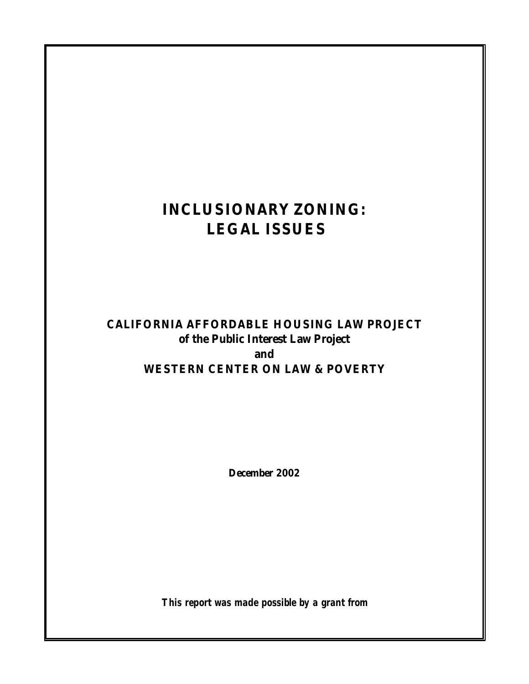# **INCLUSIONARY ZONING: LEGAL ISSUES**

# **CALIFORNIA AFFORDABLE HOUSING LAW PROJECT of the Public Interest Law Project and WESTERN CENTER ON LAW & POVERTY**

**December 2002**

*This report was made possible by a grant from*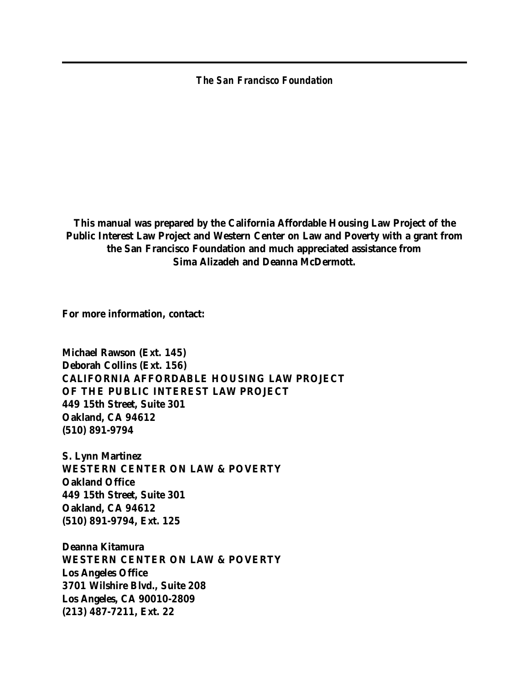*The San Francisco Foundation*

**This manual was prepared by the California Affordable Housing Law Project of the Public Interest Law Project and Western Center on Law and Poverty with a grant from the San Francisco Foundation and much appreciated assistance from Sima Alizadeh and Deanna McDermott.**

**For more information, contact:**

**Michael Rawson (Ext. 145) Deborah Collins (Ext. 156) CALIFORNIA AFFORDABLE HOUSING LAW PROJECT OF THE PUBLIC INTEREST LAW PROJECT 449 15th Street, Suite 301 Oakland, CA 94612 (510) 891-9794**

**S. Lynn Martinez WESTERN CENTER ON LAW & POVERTY Oakland Office 449 15th Street, Suite 301 Oakland, CA 94612 (510) 891-9794, Ext. 125** 

**Deanna Kitamura WESTERN CENTER ON LAW & POVERTY Los Angeles Office 3701 Wilshire Blvd., Suite 208 Los Angeles, CA 90010-2809 (213) 487-7211, Ext. 22**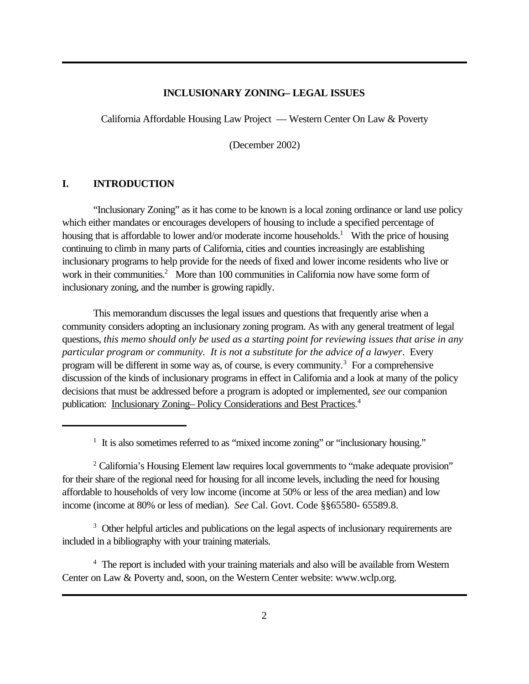#### **INCLUSIONARY ZONING– LEGAL ISSUES**

California Affordable Housing Law Project — Western Center On Law & Poverty

(December 2002)

#### **I. INTRODUCTION**

"Inclusionary Zoning" as it has come to be known is a local zoning ordinance or land use policy which either mandates or encourages developers of housing to include a specified percentage of housing that is affordable to lower and/or moderate income households.<sup>1</sup> With the price of housing continuing to climb in many parts of California, cities and counties increasingly are establishing inclusionary programs to help provide for the needs of fixed and lower income residents who live or work in their communities.<sup>2</sup> More than 100 communities in California now have some form of inclusionary zoning, and the number is growing rapidly.

This memorandum discusses the legal issues and questions that frequently arise when a community considers adopting an inclusionary zoning program. As with any general treatment of legal questions, *this memo should only be used as a starting point for reviewing issues that arise in any particular program or community. It is not a substitute for the advice of a lawyer*. Every program will be different in some way as, of course, is every community.<sup>3</sup> For a comprehensive discussion of the kinds of inclusionary programs in effect in California and a look at many of the policy decisions that must be addressed before a program is adopted or implemented, *see* our companion publication: Inclusionary Zoning-Policy Considerations and Best Practices.<sup>4</sup>

<sup>3</sup> Other helpful articles and publications on the legal aspects of inclusionary requirements are included in a bibliography with your training materials.

<sup>4</sup> The report is included with your training materials and also will be available from Western Center on Law & Poverty and, soon, on the Western Center website: www.wclp.org.

<sup>&</sup>lt;sup>1</sup> It is also sometimes referred to as "mixed income zoning" or "inclusionary housing."

<sup>&</sup>lt;sup>2</sup> California's Housing Element law requires local governments to "make adequate provision" for their share of the regional need for housing for all income levels, including the need for housing affordable to households of very low income (income at 50% or less of the area median) and low income (income at 80% or less of median). *See* Cal. Govt. Code §§65580- 65589.8.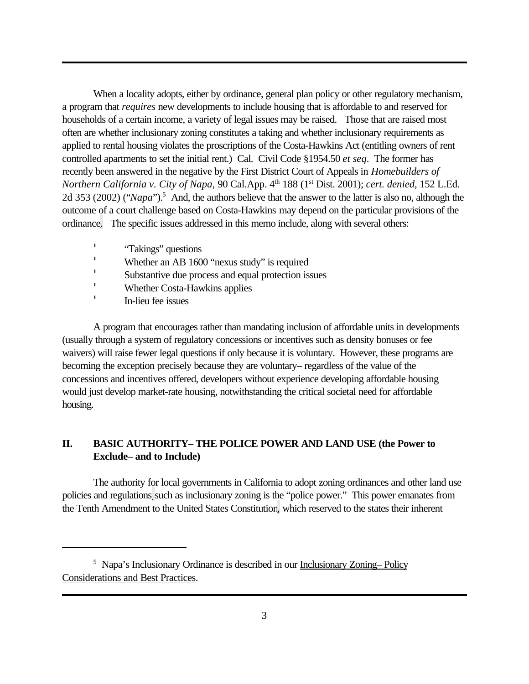When a locality adopts, either by ordinance, general plan policy or other regulatory mechanism, a program that *requires* new developments to include housing that is affordable to and reserved for households of a certain income, a variety of legal issues may be raised. Those that are raised most often are whether inclusionary zoning constitutes a taking and whether inclusionary requirements as applied to rental housing violates the proscriptions of the Costa-Hawkins Act (entitling owners of rent controlled apartments to set the initial rent.) Cal. Civil Code §1954.50 *et seq*. The former has recently been answered in the negative by the First District Court of Appeals in *Homebuilders of Northern California v. City of Napa, 90 Cal.App.* 4<sup>th</sup> 188 (1<sup>st</sup> Dist. 2001); *cert. denied*, 152 L.Ed. 2d 353 (2002) ("*Napa*").<sup>5</sup> And, the authors believe that the answer to the latter is also no, although the outcome of a court challenge based on Costa-Hawkins may depend on the particular provisions of the ordinance. The specific issues addressed in this memo include, along with several others:

- '"Takings" questions
- Whether an AB 1600 "nexus study" is required
- Substantive due process and equal protection issues
- 'Whether Costa-Hawkins applies
- 'In-lieu fee issues

A program that encourages rather than mandating inclusion of affordable units in developments (usually through a system of regulatory concessions or incentives such as density bonuses or fee waivers) will raise fewer legal questions if only because it is voluntary. However, these programs are becoming the exception precisely because they are voluntary– regardless of the value of the concessions and incentives offered, developers without experience developing affordable housing would just develop market-rate housing, notwithstanding the critical societal need for affordable housing.

# **II. BASIC AUTHORITY– THE POLICE POWER AND LAND USE (the Power to Exclude– and to Include)**

The authority for local governments in California to adopt zoning ordinances and other land use policies and regulations such as inclusionary zoning is the "police power." This power emanates from the Tenth Amendment to the United States Constitution, which reserved to the states their inherent

<sup>&</sup>lt;sup>5</sup> Napa's Inclusionary Ordinance is described in our Inclusionary Zoning-Policy Considerations and Best Practices.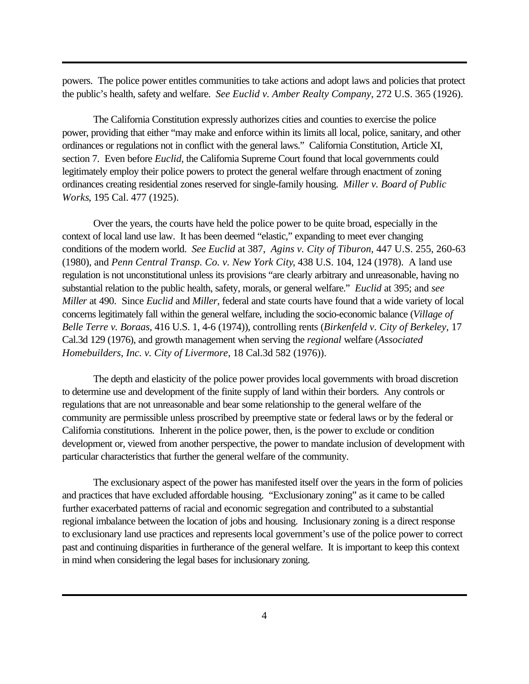powers. The police power entitles communities to take actions and adopt laws and policies that protect the public's health, safety and welfare. *See Euclid v. Amber Realty Company*, 272 U.S. 365 (1926).

The California Constitution expressly authorizes cities and counties to exercise the police power, providing that either "may make and enforce within its limits all local, police, sanitary, and other ordinances or regulations not in conflict with the general laws." California Constitution, Article XI, section 7. Even before *Euclid*, the California Supreme Court found that local governments could legitimately employ their police powers to protect the general welfare through enactment of zoning ordinances creating residential zones reserved for single-family housing. *Miller v. Board of Public Works*, 195 Cal. 477 (1925).

Over the years, the courts have held the police power to be quite broad, especially in the context of local land use law. It has been deemed "elastic," expanding to meet ever changing conditions of the modern world. *See Euclid* at 387, *Agins v. City of Tiburon*, 447 U.S. 255, 260-63 (1980), and *Penn Central Transp. Co. v. New York City*, 438 U.S. 104, 124 (1978). A land use regulation is not unconstitutional unless its provisions "are clearly arbitrary and unreasonable, having no substantial relation to the public health, safety, morals, or general welfare." *Euclid* at 395; and *see Miller* at 490. Since *Euclid* and *Miller,* federal and state courts have found that a wide variety of local concerns legitimately fall within the general welfare, including the socio-economic balance (*Village of Belle Terre v. Boraas*, 416 U.S. 1, 4-6 (1974)), controlling rents (*Birkenfeld v. City of Berkeley*, 17 Cal.3d 129 (1976), and growth management when serving the *regional* welfare (*Associated Homebuilders, Inc. v. City of Livermore*, 18 Cal.3d 582 (1976)).

The depth and elasticity of the police power provides local governments with broad discretion to determine use and development of the finite supply of land within their borders. Any controls or regulations that are not unreasonable and bear some relationship to the general welfare of the community are permissible unless proscribed by preemptive state or federal laws or by the federal or California constitutions. Inherent in the police power, then, is the power to exclude or condition development or, viewed from another perspective, the power to mandate inclusion of development with particular characteristics that further the general welfare of the community.

The exclusionary aspect of the power has manifested itself over the years in the form of policies and practices that have excluded affordable housing. "Exclusionary zoning" as it came to be called further exacerbated patterns of racial and economic segregation and contributed to a substantial regional imbalance between the location of jobs and housing. Inclusionary zoning is a direct response to exclusionary land use practices and represents local government's use of the police power to correct past and continuing disparities in furtherance of the general welfare. It is important to keep this context in mind when considering the legal bases for inclusionary zoning.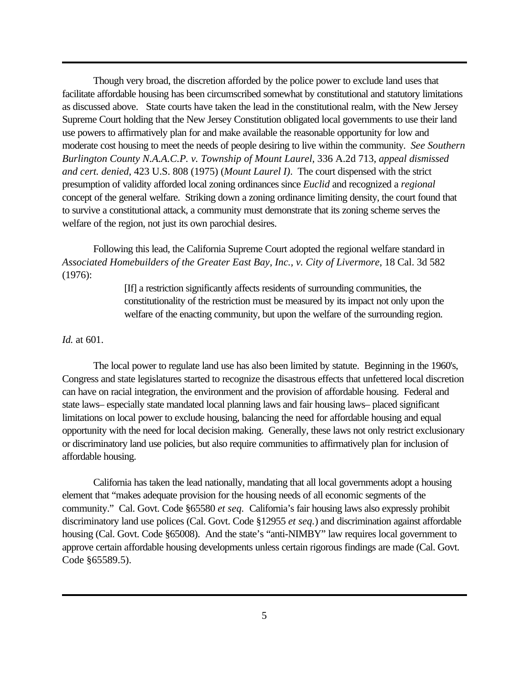Though very broad, the discretion afforded by the police power to exclude land uses that facilitate affordable housing has been circumscribed somewhat by constitutional and statutory limitations as discussed above. State courts have taken the lead in the constitutional realm, with the New Jersey Supreme Court holding that the New Jersey Constitution obligated local governments to use their land use powers to affirmatively plan for and make available the reasonable opportunity for low and moderate cost housing to meet the needs of people desiring to live within the community. *See Southern Burlington County N.A.A.C.P. v. Township of Mount Laurel*, 336 A.2d 713, *appeal dismissed and cert. denied*, 423 U.S. 808 (1975) (*Mount Laurel I)*. The court dispensed with the strict presumption of validity afforded local zoning ordinances since *Euclid* and recognized a *regional* concept of the general welfare. Striking down a zoning ordinance limiting density, the court found that to survive a constitutional attack, a community must demonstrate that its zoning scheme serves the welfare of the region, not just its own parochial desires.

Following this lead, the California Supreme Court adopted the regional welfare standard in *Associated Homebuilders of the Greater East Bay, Inc., v. City of Livermore*, 18 Cal. 3d 582 (1976):

> [If] a restriction significantly affects residents of surrounding communities, the constitutionality of the restriction must be measured by its impact not only upon the welfare of the enacting community, but upon the welfare of the surrounding region.

#### *Id.* at 601.

The local power to regulate land use has also been limited by statute. Beginning in the 1960's, Congress and state legislatures started to recognize the disastrous effects that unfettered local discretion can have on racial integration, the environment and the provision of affordable housing. Federal and state laws– especially state mandated local planning laws and fair housing laws– placed significant limitations on local power to exclude housing, balancing the need for affordable housing and equal opportunity with the need for local decision making. Generally, these laws not only restrict exclusionary or discriminatory land use policies, but also require communities to affirmatively plan for inclusion of affordable housing.

California has taken the lead nationally, mandating that all local governments adopt a housing element that "makes adequate provision for the housing needs of all economic segments of the community." Cal. Govt. Code §65580 *et seq.* California's fair housing laws also expressly prohibit discriminatory land use polices (Cal. Govt. Code §12955 *et seq.*) and discrimination against affordable housing (Cal. Govt. Code §65008). And the state's "anti-NIMBY" law requires local government to approve certain affordable housing developments unless certain rigorous findings are made (Cal. Govt. Code §65589.5).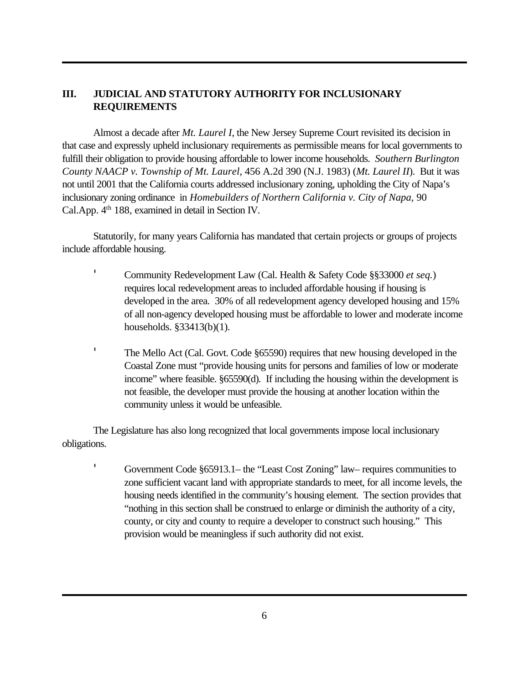# **III. JUDICIAL AND STATUTORY AUTHORITY FOR INCLUSIONARY REQUIREMENTS**

Almost a decade after *Mt. Laurel I*, the New Jersey Supreme Court revisited its decision in that case and expressly upheld inclusionary requirements as permissible means for local governments to fulfill their obligation to provide housing affordable to lower income households. *Southern Burlington County NAACP v. Township of Mt. Laurel*, 456 A.2d 390 (N.J. 1983) (*Mt. Laurel II*). But it was not until 2001 that the California courts addressed inclusionary zoning, upholding the City of Napa's inclusionary zoning ordinance in *Homebuilders of Northern California v. City of Napa,* 90 Cal.App. 4<sup>th</sup> 188, examined in detail in Section IV.

Statutorily, for many years California has mandated that certain projects or groups of projects include affordable housing.

> Community Redevelopment Law (Cal. Health & Safety Code §§33000 *et seq.*) requires local redevelopment areas to included affordable housing if housing is developed in the area. 30% of all redevelopment agency developed housing and 15% of all non-agency developed housing must be affordable to lower and moderate income households. §33413(b)(1).

 The Mello Act (Cal. Govt. Code §65590) requires that new housing developed in the Coastal Zone must "provide housing units for persons and families of low or moderate income" where feasible. §65590(d). If including the housing within the development is not feasible, the developer must provide the housing at another location within the community unless it would be unfeasible.

The Legislature has also long recognized that local governments impose local inclusionary obligations.

'

 Government Code §65913.1– the "Least Cost Zoning" law– requires communities to zone sufficient vacant land with appropriate standards to meet, for all income levels, the housing needs identified in the community's housing element.The section provides that "nothing in this section shall be construed to enlarge or diminish the authority of a city, county, or city and county to require a developer to construct such housing." This provision would be meaningless if such authority did not exist.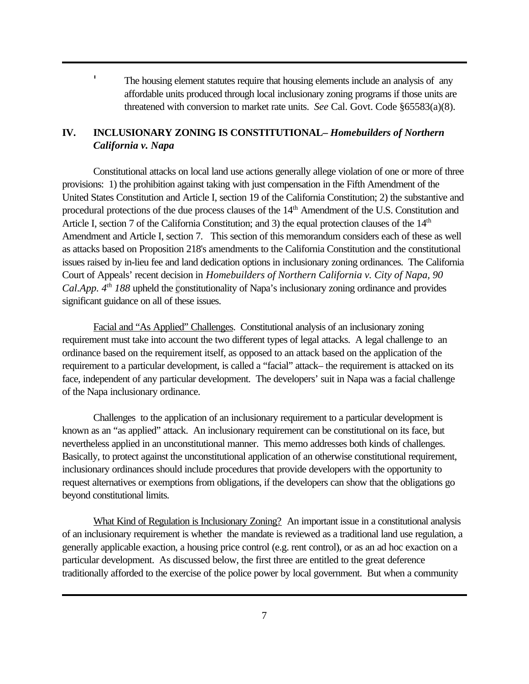The housing element statutes require that housing elements include an analysis of any affordable units produced through local inclusionary zoning programs if those units are threatened with conversion to market rate units. *See* Cal. Govt. Code §65583(a)(8).

# **IV. INCLUSIONARY ZONING IS CONSTITUTIONAL–** *Homebuilders of Northern California v. Napa*

Constitutional attacks on local land use actions generally allege violation of one or more of three provisions: 1) the prohibition against taking with just compensation in the Fifth Amendment of the United States Constitution and Article I, section 19 of the California Constitution; 2) the substantive and procedural protections of the due process clauses of the 14th Amendment of the U.S. Constitution and Article I, section 7 of the California Constitution; and 3) the equal protection clauses of the 14<sup>th</sup> Amendment and Article I, section 7. This section of this memorandum considers each of these as well as attacks based on Proposition 218's amendments to the California Constitution and the constitutional issues raised by in-lieu fee and land dedication options in inclusionary zoning ordinances. The California Court of Appeals' recent decision in *Homebuilders of Northern California v. City of Napa, 90 Cal.App. 4th 188* upheld the constitutionality of Napa's inclusionary zoning ordinance and provides significant guidance on all of these issues.

Facial and "As Applied" Challenges. Constitutional analysis of an inclusionary zoning requirement must take into account the two different types of legal attacks. A legal challenge to an ordinance based on the requirement itself, as opposed to an attack based on the application of the requirement to a particular development, is called a "facial" attack– the requirement is attacked on its face, independent of any particular development. The developers' suit in Napa was a facial challenge of the Napa inclusionary ordinance.

Challenges to the application of an inclusionary requirement to a particular development is known as an "as applied" attack. An inclusionary requirement can be constitutional on its face, but nevertheless applied in an unconstitutional manner. This memo addresses both kinds of challenges. Basically, to protect against the unconstitutional application of an otherwise constitutional requirement, inclusionary ordinances should include procedures that provide developers with the opportunity to request alternatives or exemptions from obligations, if the developers can show that the obligations go beyond constitutional limits.

What Kind of Regulation is Inclusionary Zoning? An important issue in a constitutional analysis of an inclusionary requirement is whether the mandate is reviewed as a traditional land use regulation, a generally applicable exaction, a housing price control (e.g. rent control), or as an ad hoc exaction on a particular development. As discussed below, the first three are entitled to the great deference traditionally afforded to the exercise of the police power by local government. But when a community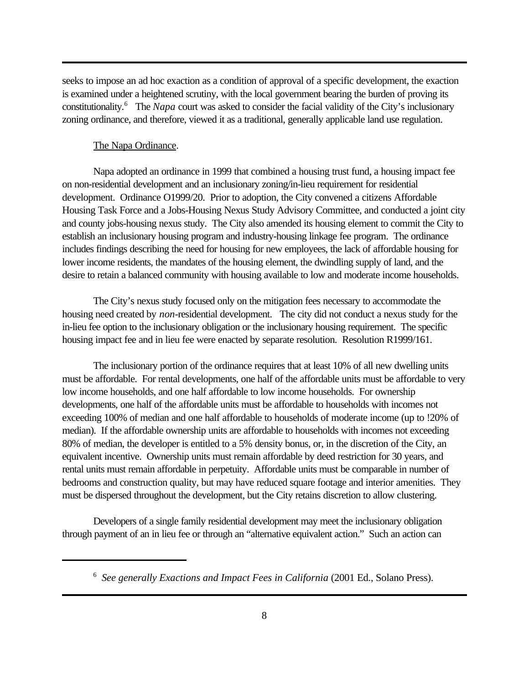seeks to impose an ad hoc exaction as a condition of approval of a specific development, the exaction is examined under a heightened scrutiny, with the local government bearing the burden of proving its constitutionality.<sup>6</sup> The *Napa* court was asked to consider the facial validity of the City's inclusionary zoning ordinance, and therefore, viewed it as a traditional, generally applicable land use regulation.

#### The Napa Ordinance.

Napa adopted an ordinance in 1999 that combined a housing trust fund, a housing impact fee on non-residential development and an inclusionary zoning/in-lieu requirement for residential development. Ordinance O1999/20. Prior to adoption, the City convened a citizens Affordable Housing Task Force and a Jobs-Housing Nexus Study Advisory Committee, and conducted a joint city and county jobs-housing nexus study. The City also amended its housing element to commit the City to establish an inclusionary housing program and industry-housing linkage fee program. The ordinance includes findings describing the need for housing for new employees, the lack of affordable housing for lower income residents, the mandates of the housing element, the dwindling supply of land, and the desire to retain a balanced community with housing available to low and moderate income households.

The City's nexus study focused only on the mitigation fees necessary to accommodate the housing need created by *non*-residential development. The city did not conduct a nexus study for the in-lieu fee option to the inclusionary obligation or the inclusionary housing requirement. The specific housing impact fee and in lieu fee were enacted by separate resolution. Resolution R1999/161.

The inclusionary portion of the ordinance requires that at least 10% of all new dwelling units must be affordable. For rental developments, one half of the affordable units must be affordable to very low income households, and one half affordable to low income households. For ownership developments, one half of the affordable units must be affordable to households with incomes not exceeding 100% of median and one half affordable to households of moderate income (up to !20% of median). If the affordable ownership units are affordable to households with incomes not exceeding 80% of median, the developer is entitled to a 5% density bonus, or, in the discretion of the City, an equivalent incentive. Ownership units must remain affordable by deed restriction for 30 years, and rental units must remain affordable in perpetuity. Affordable units must be comparable in number of bedrooms and construction quality, but may have reduced square footage and interior amenities. They must be dispersed throughout the development, but the City retains discretion to allow clustering.

Developers of a single family residential development may meet the inclusionary obligation through payment of an in lieu fee or through an "alternative equivalent action." Such an action can

<sup>6</sup> *See generally Exactions and Impact Fees in California* (2001 Ed., Solano Press).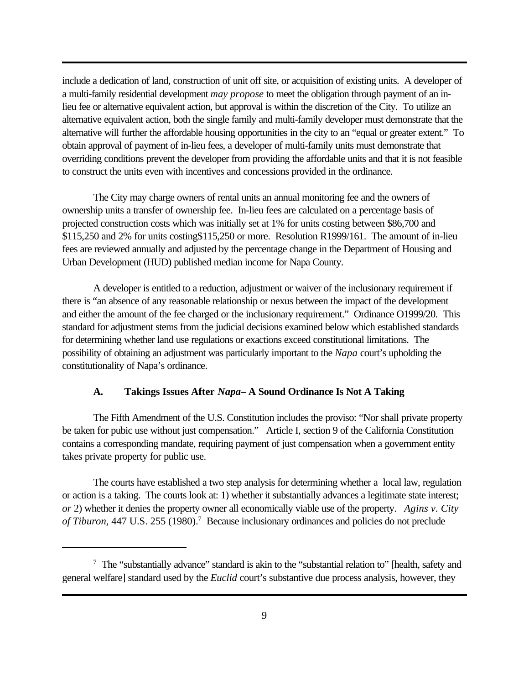include a dedication of land, construction of unit off site, or acquisition of existing units. A developer of a multi-family residential development *may propose* to meet the obligation through payment of an inlieu fee or alternative equivalent action, but approval is within the discretion of the City. To utilize an alternative equivalent action, both the single family and multi-family developer must demonstrate that the alternative will further the affordable housing opportunities in the city to an "equal or greater extent." To obtain approval of payment of in-lieu fees, a developer of multi-family units must demonstrate that overriding conditions prevent the developer from providing the affordable units and that it is not feasible to construct the units even with incentives and concessions provided in the ordinance.

The City may charge owners of rental units an annual monitoring fee and the owners of ownership units a transfer of ownership fee. In-lieu fees are calculated on a percentage basis of projected construction costs which was initially set at 1% for units costing between \$86,700 and \$115,250 and 2% for units costing\$115,250 or more. Resolution R1999/161. The amount of in-lieu fees are reviewed annually and adjusted by the percentage change in the Department of Housing and Urban Development (HUD) published median income for Napa County.

A developer is entitled to a reduction, adjustment or waiver of the inclusionary requirement if there is "an absence of any reasonable relationship or nexus between the impact of the development and either the amount of the fee charged or the inclusionary requirement." Ordinance O1999/20. This standard for adjustment stems from the judicial decisions examined below which established standards for determining whether land use regulations or exactions exceed constitutional limitations. The possibility of obtaining an adjustment was particularly important to the *Napa* court's upholding the constitutionality of Napa's ordinance.

#### **A. Takings Issues After** *Napa***– A Sound Ordinance Is Not A Taking**

The Fifth Amendment of the U.S. Constitution includes the proviso: "Nor shall private property be taken for pubic use without just compensation." Article I, section 9 of the California Constitution contains a corresponding mandate, requiring payment of just compensation when a government entity takes private property for public use.

The courts have established a two step analysis for determining whether a local law, regulation or action is a taking. The courts look at: 1) whether it substantially advances a legitimate state interest; *or* 2) whether it denies the property owner all economically viable use of the property. *Agins v. City* of Tiburon, 447 U.S. 255 (1980).<sup>7</sup> Because inclusionary ordinances and policies do not preclude

<sup>&</sup>lt;sup>7</sup> The "substantially advance" standard is akin to the "substantial relation to" [health, safety and general welfare] standard used by the *Euclid* court's substantive due process analysis, however, they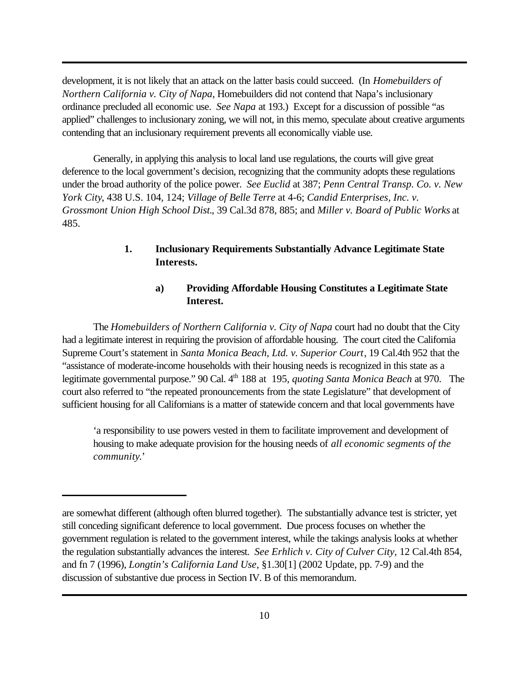development, it is not likely that an attack on the latter basis could succeed. (In *Homebuilders of Northern California v. City of Napa*, Homebuilders did not contend that Napa's inclusionary ordinance precluded all economic use. *See Napa* at 193.) Except for a discussion of possible "as applied" challenges to inclusionary zoning, we will not, in this memo, speculate about creative arguments contending that an inclusionary requirement prevents all economically viable use.

Generally, in applying this analysis to local land use regulations, the courts will give great deference to the local government's decision, recognizing that the community adopts these regulations under the broad authority of the police power. *See Euclid* at 387; *Penn Central Transp. Co. v. New York City*, 438 U.S. 104, 124; *Village of Belle Terre* at 4-6; *Candid Enterprises, Inc. v. Grossmont Union High School Dist.*, 39 Cal.3d 878, 885; and *Miller v. Board of Public Works* at 485.

# **1. Inclusionary Requirements Substantially Advance Legitimate State Interests.**

# **a) Providing Affordable Housing Constitutes a Legitimate State Interest.**

The *Homebuilders of Northern California v. City of Napa* court had no doubt that the City had a legitimate interest in requiring the provision of affordable housing. The court cited the California Supreme Court's statement in *Santa Monica Beach, Ltd. v. Superior Court*, 19 Cal.4th 952 that the "assistance of moderate-income households with their housing needs is recognized in this state as a legitimate governmental purpose." 90 Cal. 4<sup>th</sup> 188 at 195, *quoting Santa Monica Beach* at 970. The court also referred to "the repeated pronouncements from the state Legislature" that development of sufficient housing for all Californians is a matter of statewide concern and that local governments have

'a responsibility to use powers vested in them to facilitate improvement and development of housing to make adequate provision for the housing needs of *all economic segments of the community*.'

are somewhat different (although often blurred together). The substantially advance test is stricter, yet still conceding significant deference to local government. Due process focuses on whether the government regulation is related to the government interest, while the takings analysis looks at whether the regulation substantially advances the interest. *See Erhlich v. City of Culver City,* 12 Cal.4th 854, and fn 7 (1996), *Longtin's California Land Use,* §1.30[1] (2002 Update, pp. 7-9) and the discussion of substantive due process in Section IV. B of this memorandum.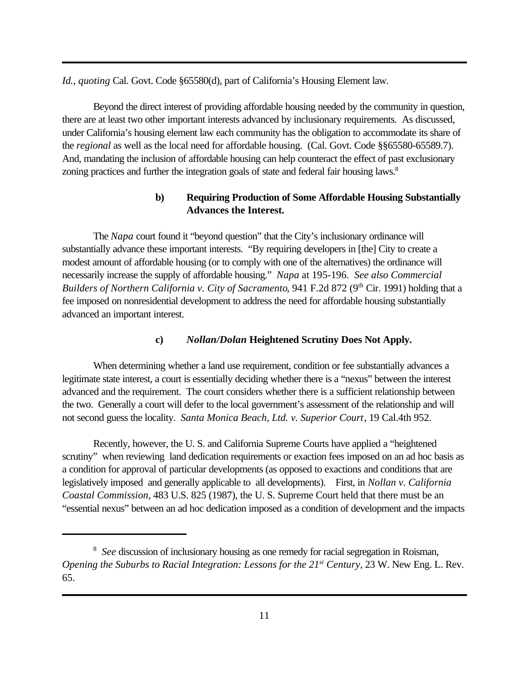*Id.*, *quoting* Cal. Govt. Code §65580(d), part of California's Housing Element law.

Beyond the direct interest of providing affordable housing needed by the community in question, there are at least two other important interests advanced by inclusionary requirements. As discussed, under California's housing element law each community has the obligation to accommodate its share of the *regional* as well as the local need for affordable housing. (Cal. Govt. Code §§65580-65589.7). And, mandating the inclusion of affordable housing can help counteract the effect of past exclusionary zoning practices and further the integration goals of state and federal fair housing laws.<sup>8</sup>

# **b) Requiring Production of Some Affordable Housing Substantially Advances the Interest.**

The *Napa* court found it "beyond question" that the City's inclusionary ordinance will substantially advance these important interests. "By requiring developers in [the] City to create a modest amount of affordable housing (or to comply with one of the alternatives) the ordinance will necessarily increase the supply of affordable housing." *Napa* at 195-196. *See also Commercial Builders of Northern California v. City of Sacramento*, 941 F.2d 872 (9<sup>th</sup> Cir. 1991) holding that a fee imposed on nonresidential development to address the need for affordable housing substantially advanced an important interest.

## **c)** *Nollan/Dolan* **Heightened Scrutiny Does Not Apply.**

When determining whether a land use requirement, condition or fee substantially advances a legitimate state interest, a court is essentially deciding whether there is a "nexus" between the interest advanced and the requirement. The court considers whether there is a sufficient relationship between the two. Generally a court will defer to the local government's assessment of the relationship and will not second guess the locality. *Santa Monica Beach, Ltd. v. Superior Court*, 19 Cal.4th 952.

Recently, however, the U. S. and California Supreme Courts have applied a "heightened scrutiny" when reviewing land dedication requirements or exaction fees imposed on an ad hoc basis as a condition for approval of particular developments (as opposed to exactions and conditions that are legislatively imposed and generally applicable to all developments). First, in *Nollan v. California Coastal Commission*, 483 U.S. 825 (1987), the U. S. Supreme Court held that there must be an "essential nexus" between an ad hoc dedication imposed as a condition of development and the impacts

<sup>&</sup>lt;sup>8</sup> See discussion of inclusionary housing as one remedy for racial segregation in Roisman, *Opening the Suburbs to Racial Integration: Lessons for the 21st Century*, 23 W. New Eng. L. Rev. 65.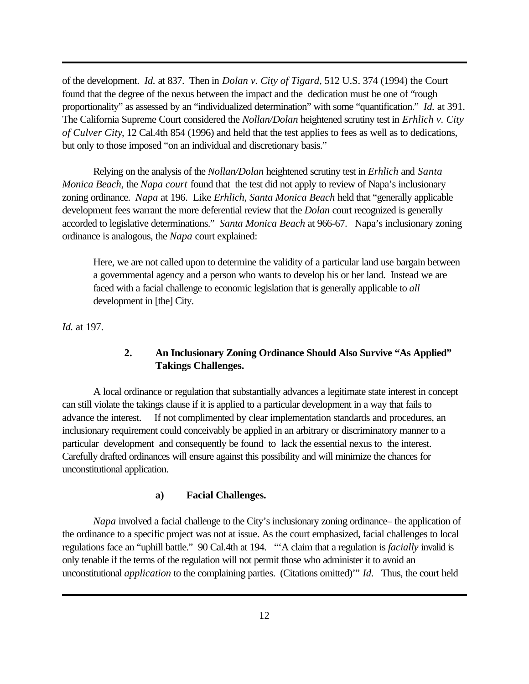of the development. *Id.* at 837. Then in *Dolan v. City of Tigard*, 512 U.S. 374 (1994) the Court found that the degree of the nexus between the impact and the dedication must be one of "rough proportionality" as assessed by an "individualized determination" with some "quantification." *Id.* at 391. The California Supreme Court considered the *Nollan/Dolan* heightened scrutiny test in *Erhlich v. City of Culver City*, 12 Cal.4th 854 (1996) and held that the test applies to fees as well as to dedications, but only to those imposed "on an individual and discretionary basis."

Relying on the analysis of the *Nollan/Dolan* heightened scrutiny test in *Erhlich* and *Santa Monica Beach,* the *Napa court* found that the test did not apply to review of Napa's inclusionary zoning ordinance. *Napa* at 196. Like *Erhlich, Santa Monica Beach* held that "generally applicable development fees warrant the more deferential review that the *Dolan* court recognized is generally accorded to legislative determinations." *Santa Monica Beach* at 966-67. Napa's inclusionary zoning ordinance is analogous, the *Napa* court explained:

Here, we are not called upon to determine the validity of a particular land use bargain between a governmental agency and a person who wants to develop his or her land. Instead we are faced with a facial challenge to economic legislation that is generally applicable to *all* development in [the] City.

*Id.* at 197.

# **2. An Inclusionary Zoning Ordinance Should Also Survive "As Applied" Takings Challenges.**

A local ordinance or regulation that substantially advances a legitimate state interest in concept can still violate the takings clause if it is applied to a particular development in a way that fails to advance the interest. If not complimented by clear implementation standards and procedures, an inclusionary requirement could conceivably be applied in an arbitrary or discriminatory manner to a particular development and consequently be found to lack the essential nexus to the interest. Carefully drafted ordinances will ensure against this possibility and will minimize the chances for unconstitutional application.

#### **a) Facial Challenges.**

*Napa* involved a facial challenge to the City's inclusionary zoning ordinance– the application of the ordinance to a specific project was not at issue. As the court emphasized, facial challenges to local regulations face an "uphill battle." 90 Cal.4th at 194. "'A claim that a regulation is *facially* invalid is only tenable if the terms of the regulation will not permit those who administer it to avoid an unconstitutional *application* to the complaining parties. (Citations omitted)'" *Id*. Thus, the court held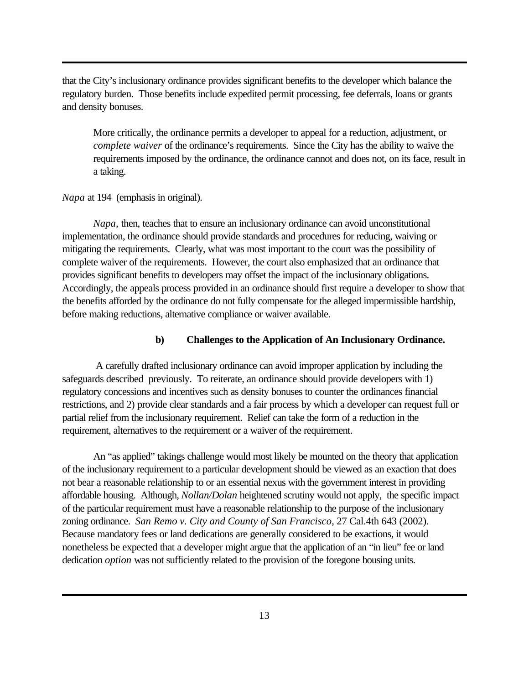that the City's inclusionary ordinance provides significant benefits to the developer which balance the regulatory burden. Those benefits include expedited permit processing, fee deferrals, loans or grants and density bonuses.

More critically, the ordinance permits a developer to appeal for a reduction, adjustment, or *complete waiver* of the ordinance's requirements. Since the City has the ability to waive the requirements imposed by the ordinance, the ordinance cannot and does not, on its face, result in a taking.

*Napa* at 194 (emphasis in original).

*Napa,* then, teaches that to ensure an inclusionary ordinance can avoid unconstitutional implementation, the ordinance should provide standards and procedures for reducing, waiving or mitigating the requirements. Clearly, what was most important to the court was the possibility of complete waiver of the requirements. However, the court also emphasized that an ordinance that provides significant benefits to developers may offset the impact of the inclusionary obligations. Accordingly, the appeals process provided in an ordinance should first require a developer to show that the benefits afforded by the ordinance do not fully compensate for the alleged impermissible hardship, before making reductions, alternative compliance or waiver available.

#### **b) Challenges to the Application of An Inclusionary Ordinance.**

 A carefully drafted inclusionary ordinance can avoid improper application by including the safeguards described previously. To reiterate, an ordinance should provide developers with 1) regulatory concessions and incentives such as density bonuses to counter the ordinances financial restrictions, and 2) provide clear standards and a fair process by which a developer can request full or partial relief from the inclusionary requirement. Relief can take the form of a reduction in the requirement, alternatives to the requirement or a waiver of the requirement.

An "as applied" takings challenge would most likely be mounted on the theory that application of the inclusionary requirement to a particular development should be viewed as an exaction that does not bear a reasonable relationship to or an essential nexus with the government interest in providing affordable housing. Although, *Nollan/Dolan* heightened scrutiny would not apply, the specific impact of the particular requirement must have a reasonable relationship to the purpose of the inclusionary zoning ordinance. *San Remo v. City and County of San Francisco*, 27 Cal.4th 643 (2002). Because mandatory fees or land dedications are generally considered to be exactions, it would nonetheless be expected that a developer might argue that the application of an "in lieu" fee or land dedication *option* was not sufficiently related to the provision of the foregone housing units.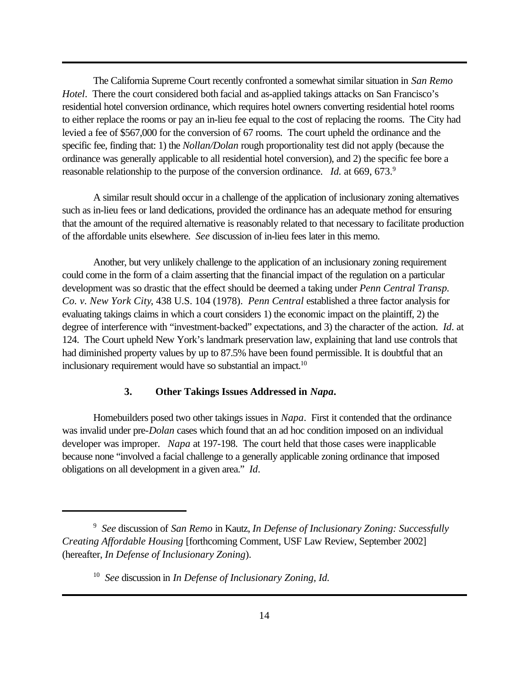The California Supreme Court recently confronted a somewhat similar situation in *San Remo Hotel*. There the court considered both facial and as-applied takings attacks on San Francisco's residential hotel conversion ordinance, which requires hotel owners converting residential hotel rooms to either replace the rooms or pay an in-lieu fee equal to the cost of replacing the rooms. The City had levied a fee of \$567,000 for the conversion of 67 rooms. The court upheld the ordinance and the specific fee, finding that: 1) the *Nollan/Dolan* rough proportionality test did not apply (because the ordinance was generally applicable to all residential hotel conversion), and 2) the specific fee bore a reasonable relationship to the purpose of the conversion ordinance. *Id.* at 669, 673.<sup>9</sup>

A similar result should occur in a challenge of the application of inclusionary zoning alternatives such as in-lieu fees or land dedications, provided the ordinance has an adequate method for ensuring that the amount of the required alternative is reasonably related to that necessary to facilitate production of the affordable units elsewhere. *See* discussion of in-lieu fees later in this memo.

Another, but very unlikely challenge to the application of an inclusionary zoning requirement could come in the form of a claim asserting that the financial impact of the regulation on a particular development was so drastic that the effect should be deemed a taking under *Penn Central Transp. Co. v. New York City*, 438 U.S. 104 (1978). *Penn Central* established a three factor analysis for evaluating takings claims in which a court considers 1) the economic impact on the plaintiff, 2) the degree of interference with "investment-backed" expectations, and 3) the character of the action. *Id*. at 124. The Court upheld New York's landmark preservation law, explaining that land use controls that had diminished property values by up to 87.5% have been found permissible. It is doubtful that an inclusionary requirement would have so substantial an impact.<sup>10</sup>

#### **3. Other Takings Issues Addressed in** *Napa***.**

Homebuilders posed two other takings issues in *Napa*. First it contended that the ordinance was invalid under pre-*Dolan* cases which found that an ad hoc condition imposed on an individual developer was improper. *Napa* at 197-198. The court held that those cases were inapplicable because none "involved a facial challenge to a generally applicable zoning ordinance that imposed obligations on all development in a given area." *Id*.

<sup>9</sup> *See* discussion of *San Remo* in Kautz, *In Defense of Inclusionary Zoning: Successfully Creating Affordable Housing* [forthcoming Comment, USF Law Review, September 2002] (hereafter, *In Defense of Inclusionary Zoning*).

<sup>10</sup> *See* discussion in *In Defense of Inclusionary Zoning, Id.*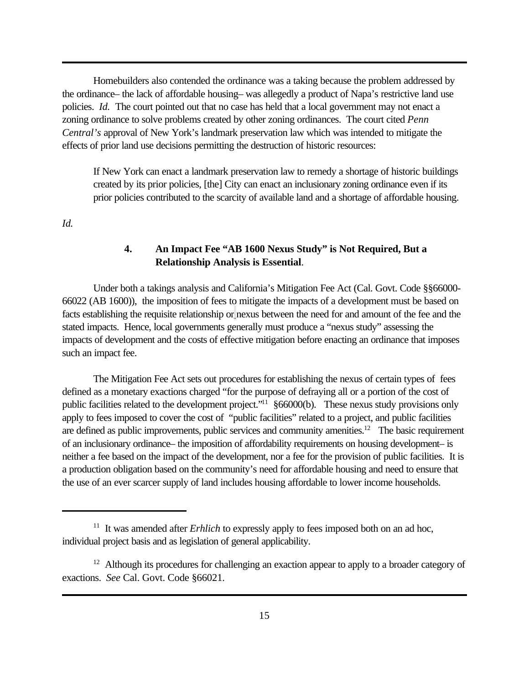Homebuilders also contended the ordinance was a taking because the problem addressed by the ordinance– the lack of affordable housing– was allegedly a product of Napa's restrictive land use policies. *Id.* The court pointed out that no case has held that a local government may not enact a zoning ordinance to solve problems created by other zoning ordinances. The court cited *Penn Central's* approval of New York's landmark preservation law which was intended to mitigate the effects of prior land use decisions permitting the destruction of historic resources:

If New York can enact a landmark preservation law to remedy a shortage of historic buildings created by its prior policies, [the] City can enact an inclusionary zoning ordinance even if its prior policies contributed to the scarcity of available land and a shortage of affordable housing.

*Id.*

# **4. An Impact Fee "AB 1600 Nexus Study" is Not Required, But a Relationship Analysis is Essential**.

Under both a takings analysis and California's Mitigation Fee Act (Cal. Govt. Code §§66000- 66022 (AB 1600)), the imposition of fees to mitigate the impacts of a development must be based on facts establishing the requisite relationship or nexus between the need for and amount of the fee and the stated impacts. Hence, local governments generally must produce a "nexus study" assessing the impacts of development and the costs of effective mitigation before enacting an ordinance that imposes such an impact fee.

The Mitigation Fee Act sets out procedures for establishing the nexus of certain types of fees defined as a monetary exactions charged "for the purpose of defraying all or a portion of the cost of public facilities related to the development project."<sup>11</sup> §66000(b). These nexus study provisions only apply to fees imposed to cover the cost of "public facilities" related to a project, and public facilities are defined as public improvements, public services and community amenities.<sup>12</sup> The basic requirement of an inclusionary ordinance– the imposition of affordability requirements on housing development– is neither a fee based on the impact of the development, nor a fee for the provision of public facilities. It is a production obligation based on the community's need for affordable housing and need to ensure that the use of an ever scarcer supply of land includes housing affordable to lower income households.

<sup>&</sup>lt;sup>11</sup> It was amended after *Erhlich* to expressly apply to fees imposed both on an ad hoc, individual project basis and as legislation of general applicability.

 $12$  Although its procedures for challenging an exaction appear to apply to a broader category of exactions. *See* Cal. Govt. Code §66021.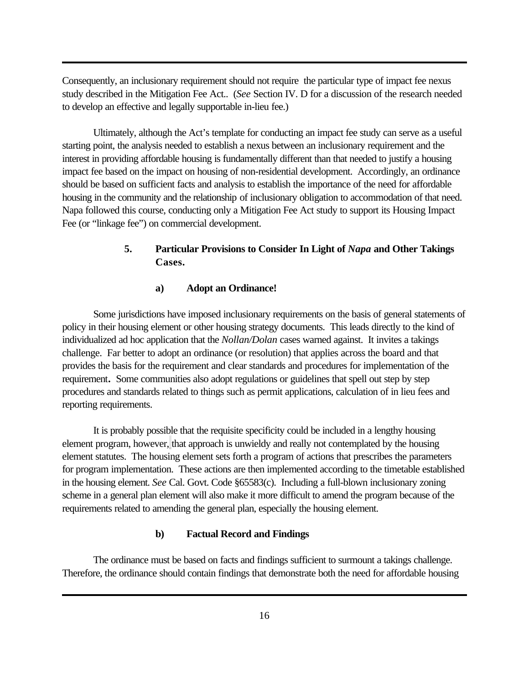Consequently, an inclusionary requirement should not require the particular type of impact fee nexus study described in the Mitigation Fee Act.. (*See* Section IV. D for a discussion of the research needed to develop an effective and legally supportable in-lieu fee.)

Ultimately, although the Act's template for conducting an impact fee study can serve as a useful starting point, the analysis needed to establish a nexus between an inclusionary requirement and the interest in providing affordable housing is fundamentally different than that needed to justify a housing impact fee based on the impact on housing of non-residential development. Accordingly, an ordinance should be based on sufficient facts and analysis to establish the importance of the need for affordable housing in the community and the relationship of inclusionary obligation to accommodation of that need. Napa followed this course, conducting only a Mitigation Fee Act study to support its Housing Impact Fee (or "linkage fee") on commercial development.

# **5. Particular Provisions to Consider In Light of** *Napa* **and Other Takings Cases.**

#### **a) Adopt an Ordinance!**

Some jurisdictions have imposed inclusionary requirements on the basis of general statements of policy in their housing element or other housing strategy documents. This leads directly to the kind of individualized ad hoc application that the *Nollan/Dolan* cases warned against. It invites a takings challenge. Far better to adopt an ordinance (or resolution) that applies across the board and that provides the basis for the requirement and clear standards and procedures for implementation of the requirement**.** Some communities also adopt regulations or guidelines that spell out step by step procedures and standards related to things such as permit applications, calculation of in lieu fees and reporting requirements.

It is probably possible that the requisite specificity could be included in a lengthy housing element program, however, that approach is unwieldy and really not contemplated by the housing element statutes. The housing element sets forth a program of actions that prescribes the parameters for program implementation. These actions are then implemented according to the timetable established in the housing element. *See* Cal. Govt. Code §65583(c). Including a full-blown inclusionary zoning scheme in a general plan element will also make it more difficult to amend the program because of the requirements related to amending the general plan, especially the housing element.

#### **b) Factual Record and Findings**

The ordinance must be based on facts and findings sufficient to surmount a takings challenge. Therefore, the ordinance should contain findings that demonstrate both the need for affordable housing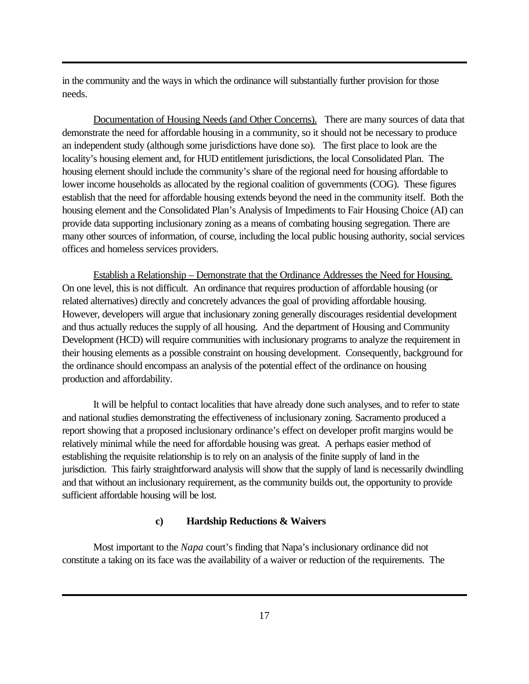in the community and the ways in which the ordinance will substantially further provision for those needs.

Documentation of Housing Needs (and Other Concerns). There are many sources of data that demonstrate the need for affordable housing in a community, so it should not be necessary to produce an independent study (although some jurisdictions have done so). The first place to look are the locality's housing element and, for HUD entitlement jurisdictions, the local Consolidated Plan. The housing element should include the community's share of the regional need for housing affordable to lower income households as allocated by the regional coalition of governments (COG). These figures establish that the need for affordable housing extends beyond the need in the community itself. Both the housing element and the Consolidated Plan's Analysis of Impediments to Fair Housing Choice (AI) can provide data supporting inclusionary zoning as a means of combating housing segregation. There are many other sources of information, of course, including the local public housing authority, social services offices and homeless services providers.

Establish a Relationship – Demonstrate that the Ordinance Addresses the Need for Housing. On one level, this is not difficult. An ordinance that requires production of affordable housing (or related alternatives) directly and concretely advances the goal of providing affordable housing. However, developers will argue that inclusionary zoning generally discourages residential development and thus actually reduces the supply of all housing. And the department of Housing and Community Development (HCD) will require communities with inclusionary programs to analyze the requirement in their housing elements as a possible constraint on housing development. Consequently, background for the ordinance should encompass an analysis of the potential effect of the ordinance on housing production and affordability.

It will be helpful to contact localities that have already done such analyses, and to refer to state and national studies demonstrating the effectiveness of inclusionary zoning. Sacramento produced a report showing that a proposed inclusionary ordinance's effect on developer profit margins would be relatively minimal while the need for affordable housing was great. A perhaps easier method of establishing the requisite relationship is to rely on an analysis of the finite supply of land in the jurisdiction. This fairly straightforward analysis will show that the supply of land is necessarily dwindling and that without an inclusionary requirement, as the community builds out, the opportunity to provide sufficient affordable housing will be lost.

#### **c) Hardship Reductions & Waivers**

Most important to the *Napa* court's finding that Napa's inclusionary ordinance did not constitute a taking on its face was the availability of a waiver or reduction of the requirements. The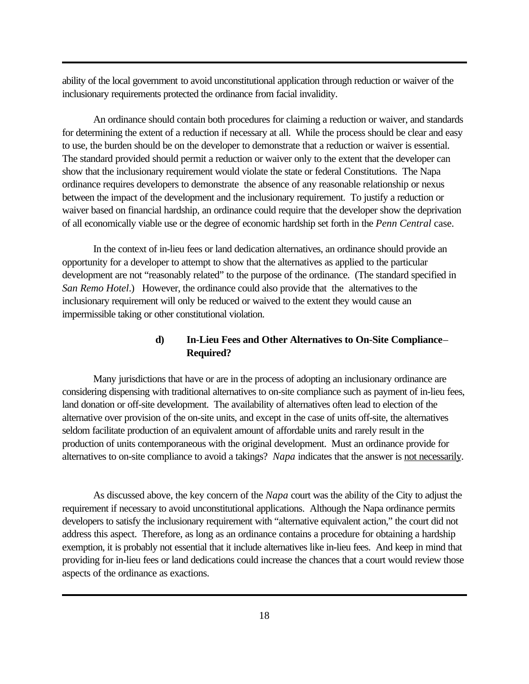ability of the local government to avoid unconstitutional application through reduction or waiver of the inclusionary requirements protected the ordinance from facial invalidity.

An ordinance should contain both procedures for claiming a reduction or waiver, and standards for determining the extent of a reduction if necessary at all. While the process should be clear and easy to use, the burden should be on the developer to demonstrate that a reduction or waiver is essential. The standard provided should permit a reduction or waiver only to the extent that the developer can show that the inclusionary requirement would violate the state or federal Constitutions. The Napa ordinance requires developers to demonstrate the absence of any reasonable relationship or nexus between the impact of the development and the inclusionary requirement. To justify a reduction or waiver based on financial hardship, an ordinance could require that the developer show the deprivation of all economically viable use or the degree of economic hardship set forth in the *Penn Central* case.

In the context of in-lieu fees or land dedication alternatives, an ordinance should provide an opportunity for a developer to attempt to show that the alternatives as applied to the particular development are not "reasonably related" to the purpose of the ordinance. (The standard specified in *San Remo Hotel*.) However, the ordinance could also provide that the alternatives to the inclusionary requirement will only be reduced or waived to the extent they would cause an impermissible taking or other constitutional violation.

# **d) In-Lieu Fees and Other Alternatives to On-Site Compliance**– **Required?**

Many jurisdictions that have or are in the process of adopting an inclusionary ordinance are considering dispensing with traditional alternatives to on-site compliance such as payment of in-lieu fees, land donation or off-site development. The availability of alternatives often lead to election of the alternative over provision of the on-site units, and except in the case of units off-site, the alternatives seldom facilitate production of an equivalent amount of affordable units and rarely result in the production of units contemporaneous with the original development. Must an ordinance provide for alternatives to on-site compliance to avoid a takings? *Napa* indicates that the answer is not necessarily.

As discussed above, the key concern of the *Napa* court was the ability of the City to adjust the requirement if necessary to avoid unconstitutional applications. Although the Napa ordinance permits developers to satisfy the inclusionary requirement with "alternative equivalent action," the court did not address this aspect. Therefore, as long as an ordinance contains a procedure for obtaining a hardship exemption, it is probably not essential that it include alternatives like in-lieu fees. And keep in mind that providing for in-lieu fees or land dedications could increase the chances that a court would review those aspects of the ordinance as exactions.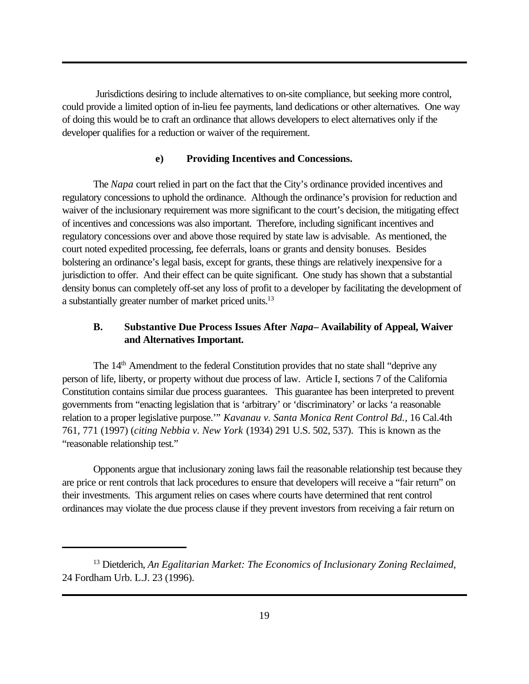Jurisdictions desiring to include alternatives to on-site compliance, but seeking more control, could provide a limited option of in-lieu fee payments, land dedications or other alternatives. One way of doing this would be to craft an ordinance that allows developers to elect alternatives only if the developer qualifies for a reduction or waiver of the requirement.

#### **e) Providing Incentives and Concessions.**

The *Napa* court relied in part on the fact that the City's ordinance provided incentives and regulatory concessions to uphold the ordinance. Although the ordinance's provision for reduction and waiver of the inclusionary requirement was more significant to the court's decision, the mitigating effect of incentives and concessions was also important. Therefore, including significant incentives and regulatory concessions over and above those required by state law is advisable. As mentioned, the court noted expedited processing, fee deferrals, loans or grants and density bonuses. Besides bolstering an ordinance's legal basis, except for grants, these things are relatively inexpensive for a jurisdiction to offer. And their effect can be quite significant. One study has shown that a substantial density bonus can completely off-set any loss of profit to a developer by facilitating the development of a substantially greater number of market priced units.<sup>13</sup>

# **B. Substantive Due Process Issues After** *Napa***– Availability of Appeal, Waiver and Alternatives Important.**

The 14<sup>th</sup> Amendment to the federal Constitution provides that no state shall "deprive any person of life, liberty, or property without due process of law. Article I, sections 7 of the California Constitution contains similar due process guarantees. This guarantee has been interpreted to prevent governments from "enacting legislation that is 'arbitrary' or 'discriminatory' or lacks 'a reasonable relation to a proper legislative purpose.'" *Kavanau v. Santa Monica Rent Control Bd.*, 16 Cal.4th 761, 771 (1997) (*citing Nebbia v. New York* (1934) 291 U.S. 502, 537). This is known as the "reasonable relationship test."

Opponents argue that inclusionary zoning laws fail the reasonable relationship test because they are price or rent controls that lack procedures to ensure that developers will receive a "fair return" on their investments. This argument relies on cases where courts have determined that rent control ordinances may violate the due process clause if they prevent investors from receiving a fair return on

<sup>13</sup> Dietderich, *An Egalitarian Market: The Economics of Inclusionary Zoning Reclaimed*, 24 Fordham Urb. L.J. 23 (1996).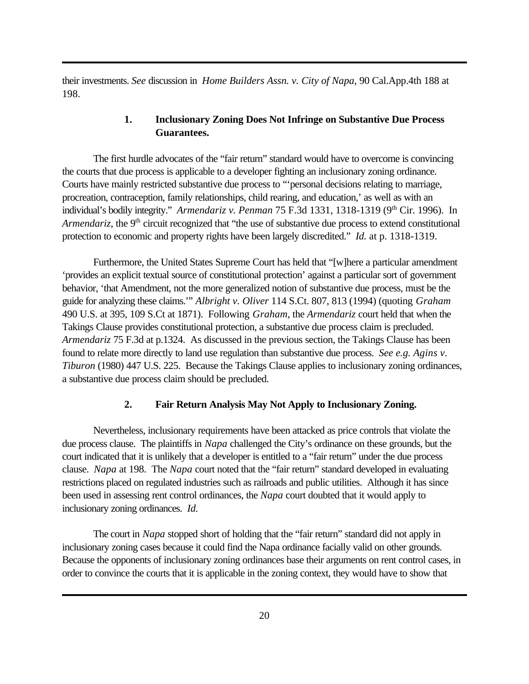their investments. *See* discussion in *Home Builders Assn. v. City of Napa*, 90 Cal.App.4th 188 at 198.

# **1. Inclusionary Zoning Does Not Infringe on Substantive Due Process Guarantees.**

The first hurdle advocates of the "fair return" standard would have to overcome is convincing the courts that due process is applicable to a developer fighting an inclusionary zoning ordinance. Courts have mainly restricted substantive due process to "'personal decisions relating to marriage, procreation, contraception, family relationships, child rearing, and education,' as well as with an individual's bodily integrity." *Armendariz v. Penman* 75 F.3d 1331, 1318-1319 (9<sup>th</sup> Cir. 1996). In *Armendariz*, the 9<sup>th</sup> circuit recognized that "the use of substantive due process to extend constitutional protection to economic and property rights have been largely discredited." *Id.* at p. 1318-1319.

Furthermore, the United States Supreme Court has held that "[w]here a particular amendment 'provides an explicit textual source of constitutional protection' against a particular sort of government behavior, 'that Amendment, not the more generalized notion of substantive due process, must be the guide for analyzing these claims.'" *Albright v. Oliver* 114 S.Ct. 807, 813 (1994) (quoting *Graham* 490 U.S. at 395, 109 S.Ct at 1871). Following *Graham*, the *Armendariz* court held that when the Takings Clause provides constitutional protection, a substantive due process claim is precluded. *Armendariz* 75 F.3d at p.1324. As discussed in the previous section, the Takings Clause has been found to relate more directly to land use regulation than substantive due process. *See e.g. Agins v. Tiburon* (1980) 447 U.S. 225. Because the Takings Clause applies to inclusionary zoning ordinances, a substantive due process claim should be precluded.

# **2. Fair Return Analysis May Not Apply to Inclusionary Zoning.**

Nevertheless, inclusionary requirements have been attacked as price controls that violate the due process clause. The plaintiffs in *Napa* challenged the City's ordinance on these grounds, but the court indicated that it is unlikely that a developer is entitled to a "fair return" under the due process clause. *Napa* at 198. The *Napa* court noted that the "fair return" standard developed in evaluating restrictions placed on regulated industries such as railroads and public utilities. Although it has since been used in assessing rent control ordinances, the *Napa* court doubted that it would apply to inclusionary zoning ordinances. *Id.*

The court in *Napa* stopped short of holding that the "fair return" standard did not apply in inclusionary zoning cases because it could find the Napa ordinance facially valid on other grounds. Because the opponents of inclusionary zoning ordinances base their arguments on rent control cases, in order to convince the courts that it is applicable in the zoning context, they would have to show that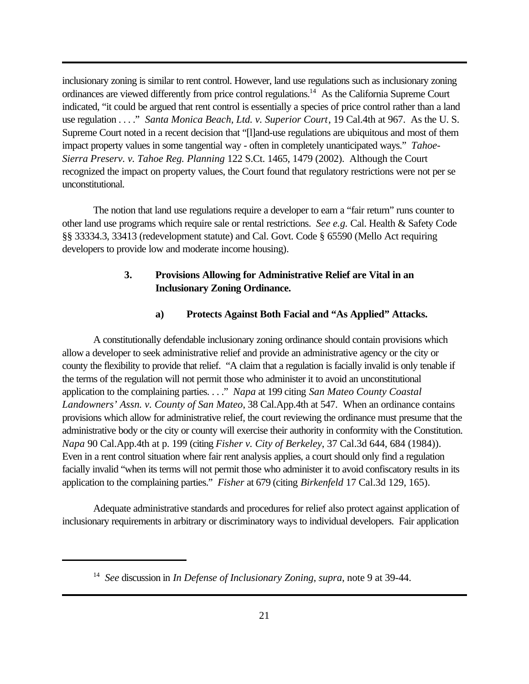inclusionary zoning is similar to rent control. However, land use regulations such as inclusionary zoning ordinances are viewed differently from price control regulations.<sup>14</sup> As the California Supreme Court indicated, "it could be argued that rent control is essentially a species of price control rather than a land use regulation . . . ." *Santa Monica Beach, Ltd. v. Superior Court*, 19 Cal.4th at 967. As the U. S. Supreme Court noted in a recent decision that "[l]and-use regulations are ubiquitous and most of them impact property values in some tangential way - often in completely unanticipated ways." *Tahoe-Sierra Preserv. v. Tahoe Reg. Planning* 122 S.Ct. 1465, 1479 (2002). Although the Court recognized the impact on property values, the Court found that regulatory restrictions were not per se unconstitutional.

The notion that land use regulations require a developer to earn a "fair return" runs counter to other land use programs which require sale or rental restrictions. *See e.g.* Cal. Health & Safety Code §§ 33334.3, 33413 (redevelopment statute) and Cal. Govt. Code § 65590 (Mello Act requiring developers to provide low and moderate income housing).

# **3. Provisions Allowing for Administrative Relief are Vital in an Inclusionary Zoning Ordinance.**

#### **a) Protects Against Both Facial and "As Applied" Attacks.**

A constitutionally defendable inclusionary zoning ordinance should contain provisions which allow a developer to seek administrative relief and provide an administrative agency or the city or county the flexibility to provide that relief. "A claim that a regulation is facially invalid is only tenable if the terms of the regulation will not permit those who administer it to avoid an unconstitutional application to the complaining parties. . . ." *Napa* at 199 citing *San Mateo County Coastal Landowners' Assn. v. County of San Mateo*, 38 Cal.App.4th at 547. When an ordinance contains provisions which allow for administrative relief, the court reviewing the ordinance must presume that the administrative body or the city or county will exercise their authority in conformity with the Constitution. *Napa* 90 Cal.App.4th at p. 199 (citing *Fisher v. City of Berkeley*, 37 Cal.3d 644, 684 (1984)). Even in a rent control situation where fair rent analysis applies, a court should only find a regulation facially invalid "when its terms will not permit those who administer it to avoid confiscatory results in its application to the complaining parties." *Fisher* at 679 (citing *Birkenfeld* 17 Cal.3d 129, 165).

Adequate administrative standards and procedures for relief also protect against application of inclusionary requirements in arbitrary or discriminatory ways to individual developers. Fair application

<sup>14</sup> *See* discussion in *In Defense of Inclusionary Zoning*, *supra*, note 9 at 39-44.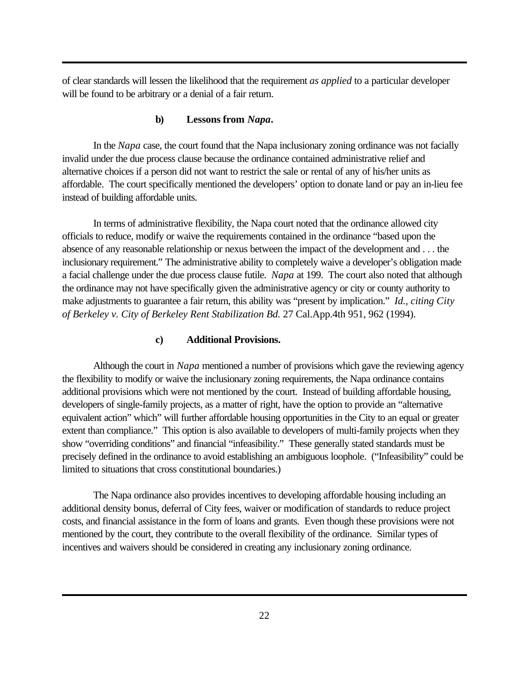of clear standards will lessen the likelihood that the requirement *as applied* to a particular developer will be found to be arbitrary or a denial of a fair return.

#### **b) Lessons from** *Napa***.**

In the *Napa* case, the court found that the Napa inclusionary zoning ordinance was not facially invalid under the due process clause because the ordinance contained administrative relief and alternative choices if a person did not want to restrict the sale or rental of any of his/her units as affordable. The court specifically mentioned the developers' option to donate land or pay an in-lieu fee instead of building affordable units.

In terms of administrative flexibility, the Napa court noted that the ordinance allowed city officials to reduce, modify or waive the requirements contained in the ordinance "based upon the absence of any reasonable relationship or nexus between the impact of the development and . . . the inclusionary requirement." The administrative ability to completely waive a developer's obligation made a facial challenge under the due process clause futile. *Napa* at 199. The court also noted that although the ordinance may not have specifically given the administrative agency or city or county authority to make adjustments to guarantee a fair return, this ability was "present by implication." *Id., citing City of Berkeley v. City of Berkeley Rent Stabilization Bd.* 27 Cal.App.4th 951, 962 (1994).

#### **c) Additional Provisions.**

Although the court in *Napa* mentioned a number of provisions which gave the reviewing agency the flexibility to modify or waive the inclusionary zoning requirements, the Napa ordinance contains additional provisions which were not mentioned by the court. Instead of building affordable housing, developers of single-family projects, as a matter of right, have the option to provide an "alternative equivalent action" which" will further affordable housing opportunities in the City to an equal or greater extent than compliance." This option is also available to developers of multi-family projects when they show "overriding conditions" and financial "infeasibility." These generally stated standards must be precisely defined in the ordinance to avoid establishing an ambiguous loophole. ("Infeasibility" could be limited to situations that cross constitutional boundaries.)

The Napa ordinance also provides incentives to developing affordable housing including an additional density bonus, deferral of City fees, waiver or modification of standards to reduce project costs, and financial assistance in the form of loans and grants. Even though these provisions were not mentioned by the court, they contribute to the overall flexibility of the ordinance. Similar types of incentives and waivers should be considered in creating any inclusionary zoning ordinance.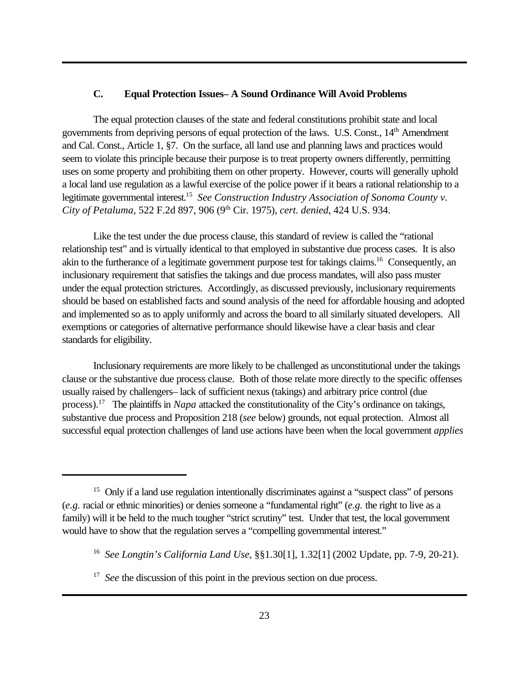#### **C. Equal Protection Issues– A Sound Ordinance Will Avoid Problems**

The equal protection clauses of the state and federal constitutions prohibit state and local governments from depriving persons of equal protection of the laws. U.S. Const., 14th Amendment and Cal. Const., Article 1, §7. On the surface, all land use and planning laws and practices would seem to violate this principle because their purpose is to treat property owners differently, permitting uses on some property and prohibiting them on other property. However, courts will generally uphold a local land use regulation as a lawful exercise of the police power if it bears a rational relationship to a legitimate governmental interest.<sup>15</sup> See Construction Industry Association of Sonoma County v. *City of Petaluma*, 522 F.2d 897, 906 (9th Cir. 1975), *cert. denied*, 424 U.S. 934.

Like the test under the due process clause, this standard of review is called the "rational relationship test" and is virtually identical to that employed in substantive due process cases. It is also akin to the furtherance of a legitimate government purpose test for takings claims.<sup>16</sup> Consequently, an inclusionary requirement that satisfies the takings and due process mandates, will also pass muster under the equal protection strictures. Accordingly, as discussed previously, inclusionary requirements should be based on established facts and sound analysis of the need for affordable housing and adopted and implemented so as to apply uniformly and across the board to all similarly situated developers. All exemptions or categories of alternative performance should likewise have a clear basis and clear standards for eligibility.

Inclusionary requirements are more likely to be challenged as unconstitutional under the takings clause or the substantive due process clause. Both of those relate more directly to the specific offenses usually raised by challengers– lack of sufficient nexus (takings) and arbitrary price control (due process).<sup>17</sup> The plaintiffs in *Napa* attacked the constitutionality of the City's ordinance on takings, substantive due process and Proposition 218 (*see* below) grounds, not equal protection. Almost all successful equal protection challenges of land use actions have been when the local government *applies*

<sup>&</sup>lt;sup>15</sup> Only if a land use regulation intentionally discriminates against a "suspect class" of persons (*e.g.* racial or ethnic minorities) or denies someone a "fundamental right" (*e.g.* the right to live as a family) will it be held to the much tougher "strict scrutiny" test. Under that test, the local government would have to show that the regulation serves a "compelling governmental interest."

<sup>16</sup> *See Longtin's California Land Use,* §§1.30[1], 1.32[1] (2002 Update, pp. 7-9, 20-21).

<sup>&</sup>lt;sup>17</sup> See the discussion of this point in the previous section on due process.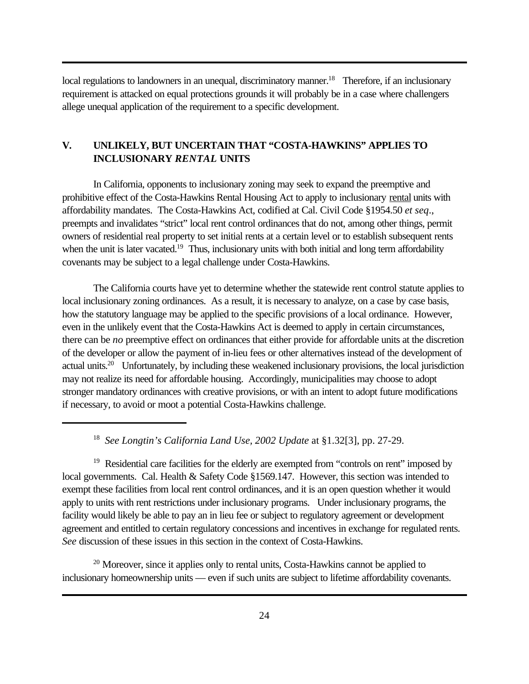local regulations to landowners in an unequal, discriminatory manner.<sup>18</sup> Therefore, if an inclusionary requirement is attacked on equal protections grounds it will probably be in a case where challengers allege unequal application of the requirement to a specific development.

# **V. UNLIKELY, BUT UNCERTAIN THAT "COSTA-HAWKINS" APPLIES TO INCLUSIONARY** *RENTAL* **UNITS**

In California, opponents to inclusionary zoning may seek to expand the preemptive and prohibitive effect of the Costa-Hawkins Rental Housing Act to apply to inclusionary rental units with affordability mandates. The Costa-Hawkins Act, codified at Cal. Civil Code §1954.50 *et seq*., preempts and invalidates "strict" local rent control ordinances that do not, among other things, permit owners of residential real property to set initial rents at a certain level or to establish subsequent rents when the unit is later vacated.<sup>19</sup> Thus, inclusionary units with both initial and long term affordability covenants may be subject to a legal challenge under Costa-Hawkins.

The California courts have yet to determine whether the statewide rent control statute applies to local inclusionary zoning ordinances. As a result, it is necessary to analyze, on a case by case basis, how the statutory language may be applied to the specific provisions of a local ordinance. However, even in the unlikely event that the Costa-Hawkins Act is deemed to apply in certain circumstances, there can be *no* preemptive effect on ordinances that either provide for affordable units at the discretion of the developer or allow the payment of in-lieu fees or other alternatives instead of the development of actual units.<sup>20</sup> Unfortunately, by including these weakened inclusionary provisions, the local jurisdiction may not realize its need for affordable housing. Accordingly, municipalities may choose to adopt stronger mandatory ordinances with creative provisions, or with an intent to adopt future modifications if necessary, to avoid or moot a potential Costa-Hawkins challenge.

<sup>20</sup> Moreover, since it applies only to rental units, Costa-Hawkins cannot be applied to inclusionary homeownership units — even if such units are subject to lifetime affordability covenants.

<sup>18</sup> *See Longtin's California Land Use, 2002 Update* at §1.32[3], pp. 27-29.

<sup>&</sup>lt;sup>19</sup> Residential care facilities for the elderly are exempted from "controls on rent" imposed by local governments. Cal. Health & Safety Code §1569.147. However, this section was intended to exempt these facilities from local rent control ordinances, and it is an open question whether it would apply to units with rent restrictions under inclusionary programs. Under inclusionary programs, the facility would likely be able to pay an in lieu fee or subject to regulatory agreement or development agreement and entitled to certain regulatory concessions and incentives in exchange for regulated rents. *See* discussion of these issues in this section in the context of Costa-Hawkins.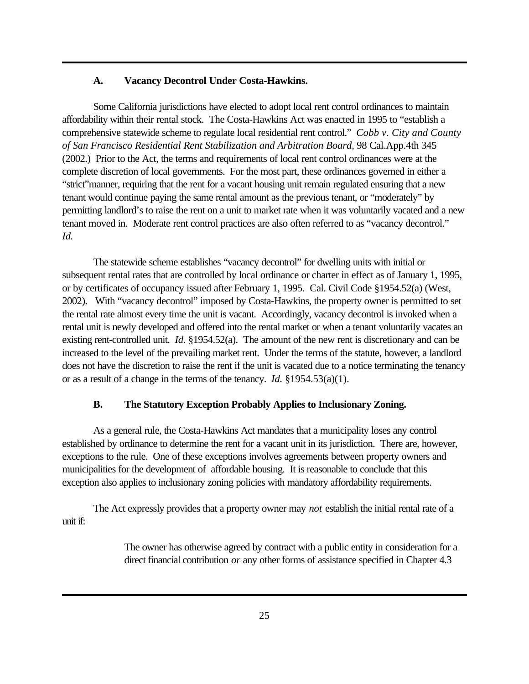#### **A. Vacancy Decontrol Under Costa-Hawkins.**

Some California jurisdictions have elected to adopt local rent control ordinances to maintain affordability within their rental stock. The Costa-Hawkins Act was enacted in 1995 to "establish a comprehensive statewide scheme to regulate local residential rent control." *Cobb v. City and County of San Francisco Residential Rent Stabilization and Arbitration Board*, 98 Cal.App.4th 345 (2002.) Prior to the Act, the terms and requirements of local rent control ordinances were at the complete discretion of local governments. For the most part, these ordinances governed in either a "strict"manner, requiring that the rent for a vacant housing unit remain regulated ensuring that a new tenant would continue paying the same rental amount as the previous tenant, or "moderately" by permitting landlord's to raise the rent on a unit to market rate when it was voluntarily vacated and a new tenant moved in. Moderate rent control practices are also often referred to as "vacancy decontrol." *Id.*

The statewide scheme establishes "vacancy decontrol" for dwelling units with initial or subsequent rental rates that are controlled by local ordinance or charter in effect as of January 1, 1995, or by certificates of occupancy issued after February 1, 1995. Cal. Civil Code §1954.52(a) (West, 2002). With "vacancy decontrol" imposed by Costa-Hawkins, the property owner is permitted to set the rental rate almost every time the unit is vacant. Accordingly, vacancy decontrol is invoked when a rental unit is newly developed and offered into the rental market or when a tenant voluntarily vacates an existing rent-controlled unit. *Id*. §1954.52(a). The amount of the new rent is discretionary and can be increased to the level of the prevailing market rent. Under the terms of the statute, however, a landlord does not have the discretion to raise the rent if the unit is vacated due to a notice terminating the tenancy or as a result of a change in the terms of the tenancy. *Id.* §1954.53(a)(1).

#### **B. The Statutory Exception Probably Applies to Inclusionary Zoning.**

As a general rule, the Costa-Hawkins Act mandates that a municipality loses any control established by ordinance to determine the rent for a vacant unit in its jurisdiction. There are, however, exceptions to the rule. One of these exceptions involves agreements between property owners and municipalities for the development of affordable housing. It is reasonable to conclude that this exception also applies to inclusionary zoning policies with mandatory affordability requirements.

The Act expressly provides that a property owner may *not* establish the initial rental rate of a unit if:

> The owner has otherwise agreed by contract with a public entity in consideration for a direct financial contribution *or* any other forms of assistance specified in Chapter 4.3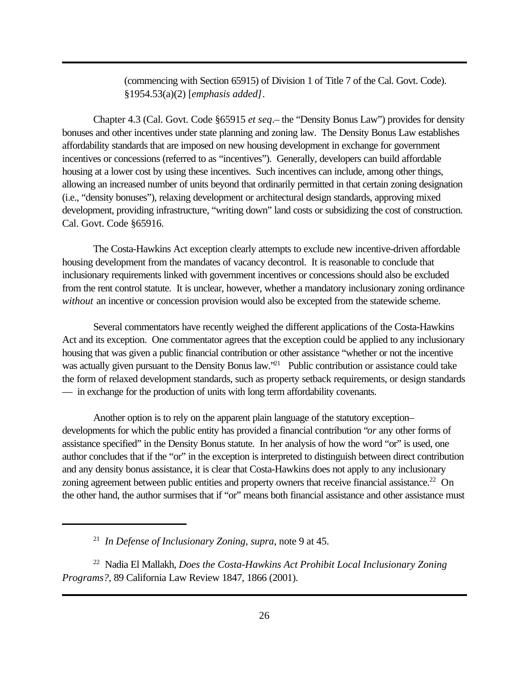(commencing with Section 65915) of Division 1 of Title 7 of the Cal. Govt. Code). §1954.53(a)(2) [*emphasis added]*.

Chapter 4.3 (Cal. Govt. Code §65915 *et seq*.– the "Density Bonus Law") provides for density bonuses and other incentives under state planning and zoning law. The Density Bonus Law establishes affordability standards that are imposed on new housing development in exchange for government incentives or concessions (referred to as "incentives"). Generally, developers can build affordable housing at a lower cost by using these incentives. Such incentives can include, among other things, allowing an increased number of units beyond that ordinarily permitted in that certain zoning designation (i.e., "density bonuses"), relaxing development or architectural design standards, approving mixed development, providing infrastructure, "writing down" land costs or subsidizing the cost of construction. Cal. Govt. Code §65916.

The Costa-Hawkins Act exception clearly attempts to exclude new incentive-driven affordable housing development from the mandates of vacancy decontrol. It is reasonable to conclude that inclusionary requirements linked with government incentives or concessions should also be excluded from the rent control statute. It is unclear, however, whether a mandatory inclusionary zoning ordinance *without* an incentive or concession provision would also be excepted from the statewide scheme.

Several commentators have recently weighed the different applications of the Costa-Hawkins Act and its exception. One commentator agrees that the exception could be applied to any inclusionary housing that was given a public financial contribution or other assistance "whether or not the incentive was actually given pursuant to the Density Bonus law."<sup>21</sup> Public contribution or assistance could take the form of relaxed development standards, such as property setback requirements, or design standards — in exchange for the production of units with long term affordability covenants.

Another option is to rely on the apparent plain language of the statutory exception– developments for which the public entity has provided a financial contribution "*or* any other forms of assistance specified" in the Density Bonus statute. In her analysis of how the word "or" is used, one author concludes that if the "or" in the exception is interpreted to distinguish between direct contribution and any density bonus assistance, it is clear that Costa-Hawkins does not apply to any inclusionary zoning agreement between public entities and property owners that receive financial assistance.<sup>22</sup> On the other hand, the author surmises that if "or" means both financial assistance and other assistance must

<sup>21</sup> *In Defense of Inclusionary Zoning, supra*, note 9 at 45.

<sup>22</sup> Nadia El Mallakh, *Does the Costa-Hawkins Act Prohibit Local Inclusionary Zoning Programs?*, 89 California Law Review 1847, 1866 (2001).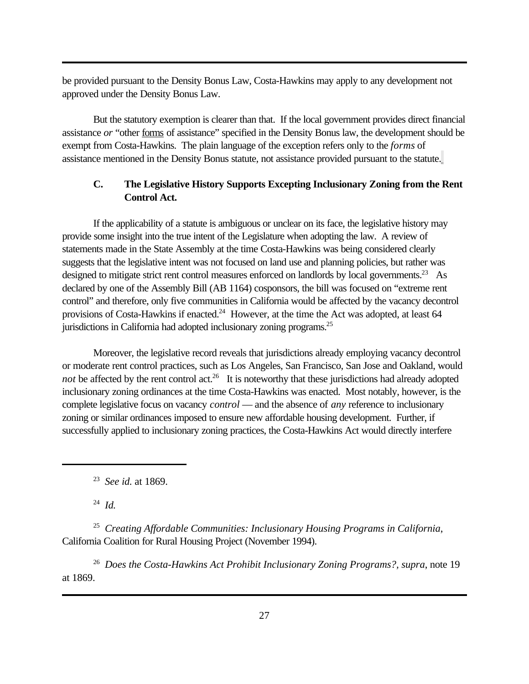be provided pursuant to the Density Bonus Law, Costa-Hawkins may apply to any development not approved under the Density Bonus Law.

But the statutory exemption is clearer than that. If the local government provides direct financial assistance *or* "other forms of assistance" specified in the Density Bonus law, the development should be exempt from Costa-Hawkins. The plain language of the exception refers only to the *forms* of assistance mentioned in the Density Bonus statute, not assistance provided pursuant to the statute.

# **C. The Legislative History Supports Excepting Inclusionary Zoning from the Rent Control Act.**

If the applicability of a statute is ambiguous or unclear on its face, the legislative history may provide some insight into the true intent of the Legislature when adopting the law. A review of statements made in the State Assembly at the time Costa-Hawkins was being considered clearly suggests that the legislative intent was not focused on land use and planning policies, but rather was designed to mitigate strict rent control measures enforced on landlords by local governments.<sup>23</sup> As declared by one of the Assembly Bill (AB 1164) cosponsors, the bill was focused on "extreme rent control" and therefore, only five communities in California would be affected by the vacancy decontrol provisions of Costa-Hawkins if enacted.<sup>24</sup> However, at the time the Act was adopted, at least 64 jurisdictions in California had adopted inclusionary zoning programs.<sup>25</sup>

Moreover, the legislative record reveals that jurisdictions already employing vacancy decontrol or moderate rent control practices, such as Los Angeles, San Francisco, San Jose and Oakland, would not be affected by the rent control act.<sup>26</sup> It is noteworthy that these jurisdictions had already adopted inclusionary zoning ordinances at the time Costa-Hawkins was enacted. Most notably, however, is the complete legislative focus on vacancy *control* — and the absence of *any* reference to inclusionary zoning or similar ordinances imposed to ensure new affordable housing development. Further, if successfully applied to inclusionary zoning practices, the Costa-Hawkins Act would directly interfere

23 *See id.* at 1869.

24 *Id.*

25 *Creating Affordable Communities: Inclusionary Housing Programs in California*, California Coalition for Rural Housing Project (November 1994).

26 *Does the Costa-Hawkins Act Prohibit Inclusionary Zoning Programs?, supra*, note 19 at 1869.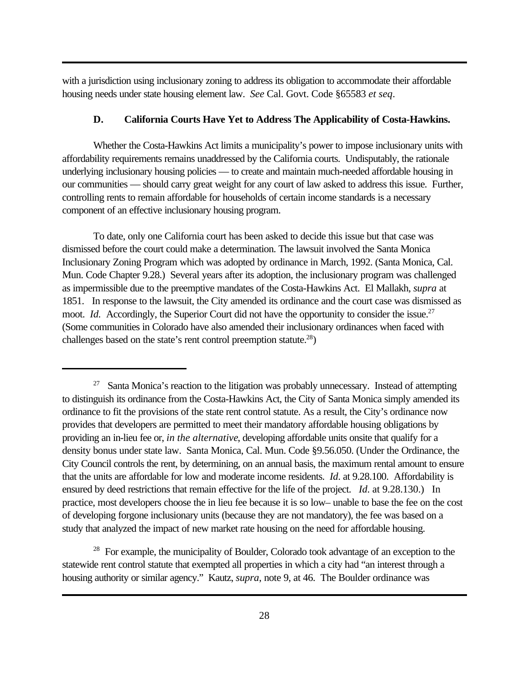with a jurisdiction using inclusionary zoning to address its obligation to accommodate their affordable housing needs under state housing element law. *See* Cal. Govt. Code §65583 *et seq*.

#### **D. California Courts Have Yet to Address The Applicability of Costa-Hawkins.**

Whether the Costa-Hawkins Act limits a municipality's power to impose inclusionary units with affordability requirements remains unaddressed by the California courts. Undisputably, the rationale underlying inclusionary housing policies — to create and maintain much-needed affordable housing in our communities — should carry great weight for any court of law asked to address this issue. Further, controlling rents to remain affordable for households of certain income standards is a necessary component of an effective inclusionary housing program.

To date, only one California court has been asked to decide this issue but that case was dismissed before the court could make a determination. The lawsuit involved the Santa Monica Inclusionary Zoning Program which was adopted by ordinance in March, 1992. (Santa Monica, Cal. Mun. Code Chapter 9.28.) Several years after its adoption, the inclusionary program was challenged as impermissible due to the preemptive mandates of the Costa-Hawkins Act. El Mallakh, *supra* at 1851. In response to the lawsuit, the City amended its ordinance and the court case was dismissed as moot. *Id.* Accordingly, the Superior Court did not have the opportunity to consider the issue.<sup>27</sup> (Some communities in Colorado have also amended their inclusionary ordinances when faced with challenges based on the state's rent control preemption statute.<sup>28</sup>)

<sup>28</sup> For example, the municipality of Boulder, Colorado took advantage of an exception to the statewide rent control statute that exempted all properties in which a city had "an interest through a housing authority or similar agency." Kautz, *supra*, note 9, at 46. The Boulder ordinance was

 $27$  Santa Monica's reaction to the litigation was probably unnecessary. Instead of attempting to distinguish its ordinance from the Costa-Hawkins Act, the City of Santa Monica simply amended its ordinance to fit the provisions of the state rent control statute. As a result, the City's ordinance now provides that developers are permitted to meet their mandatory affordable housing obligations by providing an in-lieu fee or, *in the alternative*, developing affordable units onsite that qualify for a density bonus under state law. Santa Monica, Cal. Mun. Code §9.56.050. (Under the Ordinance, the City Council controls the rent, by determining, on an annual basis, the maximum rental amount to ensure that the units are affordable for low and moderate income residents. *Id*. at 9.28.100. Affordability is ensured by deed restrictions that remain effective for the life of the project. *Id*. at 9.28.130.) In practice, most developers choose the in lieu fee because it is so low– unable to base the fee on the cost of developing forgone inclusionary units (because they are not mandatory), the fee was based on a study that analyzed the impact of new market rate housing on the need for affordable housing.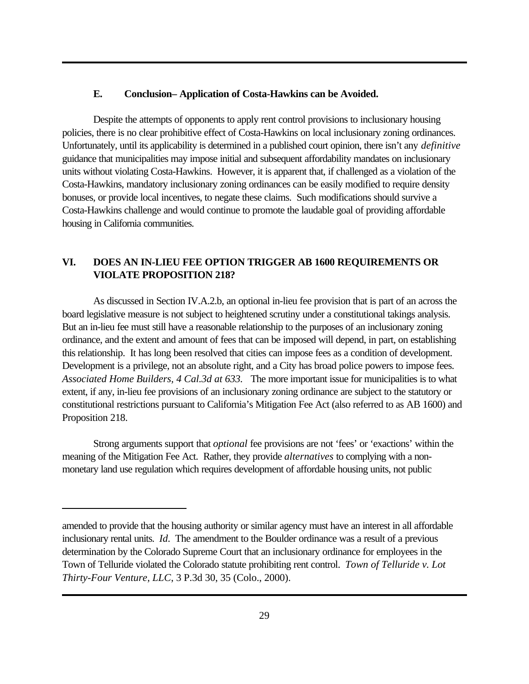#### **E. Conclusion– Application of Costa-Hawkins can be Avoided.**

Despite the attempts of opponents to apply rent control provisions to inclusionary housing policies, there is no clear prohibitive effect of Costa-Hawkins on local inclusionary zoning ordinances. Unfortunately, until its applicability is determined in a published court opinion, there isn't any *definitive* guidance that municipalities may impose initial and subsequent affordability mandates on inclusionary units without violating Costa-Hawkins. However, it is apparent that, if challenged as a violation of the Costa-Hawkins, mandatory inclusionary zoning ordinances can be easily modified to require density bonuses, or provide local incentives, to negate these claims. Such modifications should survive a Costa-Hawkins challenge and would continue to promote the laudable goal of providing affordable housing in California communities.

# **VI. DOES AN IN-LIEU FEE OPTION TRIGGER AB 1600 REQUIREMENTS OR VIOLATE PROPOSITION 218?**

As discussed in Section IV.A.2.b, an optional in-lieu fee provision that is part of an across the board legislative measure is not subject to heightened scrutiny under a constitutional takings analysis. But an in-lieu fee must still have a reasonable relationship to the purposes of an inclusionary zoning ordinance, and the extent and amount of fees that can be imposed will depend, in part, on establishing this relationship. It has long been resolved that cities can impose fees as a condition of development. Development is a privilege, not an absolute right, and a City has broad police powers to impose fees. *Associated Home Builders, 4 Cal.3d at 633.* The more important issue for municipalities is to what extent, if any, in-lieu fee provisions of an inclusionary zoning ordinance are subject to the statutory or constitutional restrictions pursuant to California's Mitigation Fee Act (also referred to as AB 1600) and Proposition 218.

Strong arguments support that *optional* fee provisions are not 'fees' or 'exactions' within the meaning of the Mitigation Fee Act. Rather, they provide *alternatives* to complying with a nonmonetary land use regulation which requires development of affordable housing units, not public

amended to provide that the housing authority or similar agency must have an interest in all affordable inclusionary rental units. *Id*. The amendment to the Boulder ordinance was a result of a previous determination by the Colorado Supreme Court that an inclusionary ordinance for employees in the Town of Telluride violated the Colorado statute prohibiting rent control. *Town of Telluride v. Lot Thirty-Four Venture, LLC*, 3 P.3d 30, 35 (Colo., 2000).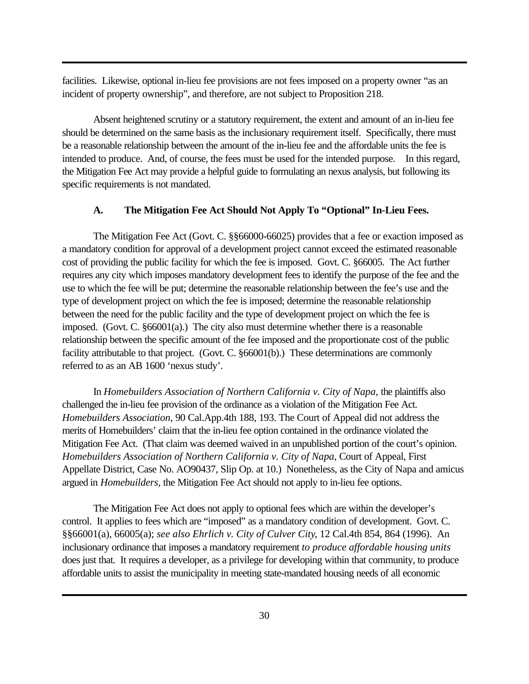facilities. Likewise, optional in-lieu fee provisions are not fees imposed on a property owner "as an incident of property ownership", and therefore, are not subject to Proposition 218.

Absent heightened scrutiny or a statutory requirement, the extent and amount of an in-lieu fee should be determined on the same basis as the inclusionary requirement itself. Specifically, there must be a reasonable relationship between the amount of the in-lieu fee and the affordable units the fee is intended to produce. And, of course, the fees must be used for the intended purpose. In this regard, the Mitigation Fee Act may provide a helpful guide to formulating an nexus analysis, but following its specific requirements is not mandated.

#### **A. The Mitigation Fee Act Should Not Apply To "Optional" In-Lieu Fees.**

The Mitigation Fee Act (Govt. C. §§66000-66025) provides that a fee or exaction imposed as a mandatory condition for approval of a development project cannot exceed the estimated reasonable cost of providing the public facility for which the fee is imposed. Govt. C. §66005. The Act further requires any city which imposes mandatory development fees to identify the purpose of the fee and the use to which the fee will be put; determine the reasonable relationship between the fee's use and the type of development project on which the fee is imposed; determine the reasonable relationship between the need for the public facility and the type of development project on which the fee is imposed. (Govt. C. §66001(a).) The city also must determine whether there is a reasonable relationship between the specific amount of the fee imposed and the proportionate cost of the public facility attributable to that project. (Govt. C. §66001(b).) These determinations are commonly referred to as an AB 1600 'nexus study'.

In *Homebuilders Association of Northern California v. City of Napa,* the plaintiffs also challenged the in-lieu fee provision of the ordinance as a violation of the Mitigation Fee Act. *Homebuilders Association*, 90 Cal.App.4th 188, 193. The Court of Appeal did not address the merits of Homebuilders' claim that the in-lieu fee option contained in the ordinance violated the Mitigation Fee Act. (That claim was deemed waived in an unpublished portion of the court's opinion. *Homebuilders Association of Northern California v. City of Napa*, Court of Appeal, First Appellate District, Case No. AO90437, Slip Op. at 10.) Nonetheless, as the City of Napa and amicus argued in *Homebuilders,* the Mitigation Fee Act should not apply to in-lieu fee options.

The Mitigation Fee Act does not apply to optional fees which are within the developer's control. It applies to fees which are "imposed" as a mandatory condition of development. Govt. C. §§66001(a), 66005(a); *see also Ehrlich v. City of Culver City*, 12 Cal.4th 854, 864 (1996). An inclusionary ordinance that imposes a mandatory requirement *to produce affordable housing units* does just that. It requires a developer, as a privilege for developing within that community, to produce affordable units to assist the municipality in meeting state-mandated housing needs of all economic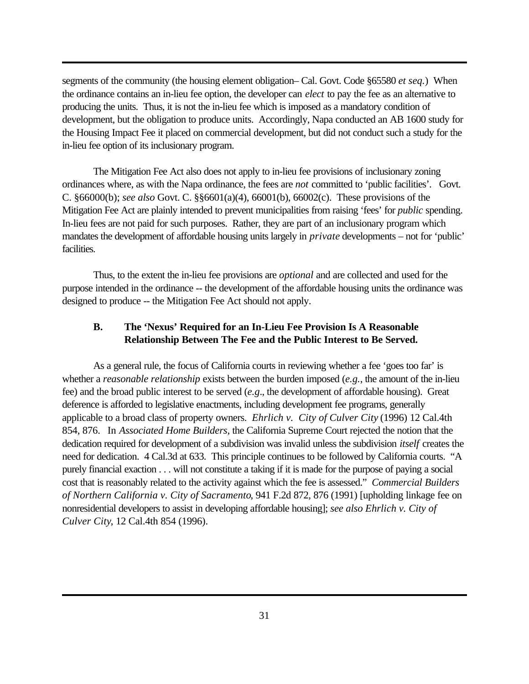segments of the community (the housing element obligation– Cal. Govt. Code §65580 *et seq.*) When the ordinance contains an in-lieu fee option, the developer can *elect* to pay the fee as an alternative to producing the units. Thus, it is not the in-lieu fee which is imposed as a mandatory condition of development, but the obligation to produce units. Accordingly, Napa conducted an AB 1600 study for the Housing Impact Fee it placed on commercial development, but did not conduct such a study for the in-lieu fee option of its inclusionary program.

The Mitigation Fee Act also does not apply to in-lieu fee provisions of inclusionary zoning ordinances where, as with the Napa ordinance, the fees are *not* committed to 'public facilities'. Govt. C. §66000(b); *see also* Govt. C. §§6601(a)(4), 66001(b), 66002(c). These provisions of the Mitigation Fee Act are plainly intended to prevent municipalities from raising 'fees' for *public* spending. In-lieu fees are not paid for such purposes. Rather, they are part of an inclusionary program which mandates the development of affordable housing units largely in *private* developments – not for 'public' facilities.

Thus, to the extent the in-lieu fee provisions are *optional* and are collected and used for the purpose intended in the ordinance -- the development of the affordable housing units the ordinance was designed to produce -- the Mitigation Fee Act should not apply.

# **B. The 'Nexus' Required for an In-Lieu Fee Provision Is A Reasonable Relationship Between The Fee and the Public Interest to Be Served.**

As a general rule, the focus of California courts in reviewing whether a fee 'goes too far' is whether a *reasonable relationship* exists between the burden imposed (*e.g.*, the amount of the in-lieu fee) and the broad public interest to be served (*e.g*., the development of affordable housing). Great deference is afforded to legislative enactments, including development fee programs, generally applicable to a broad class of property owners. *Ehrlich v. City of Culver City* (1996) 12 Cal.4th 854, 876. In *Associated Home Builders*, the California Supreme Court rejected the notion that the dedication required for development of a subdivision was invalid unless the subdivision *itself* creates the need for dedication. 4 Cal.3d at 633. This principle continues to be followed by California courts. "A purely financial exaction . . . will not constitute a taking if it is made for the purpose of paying a social cost that is reasonably related to the activity against which the fee is assessed." *Commercial Builders of Northern California v. City of Sacramento*, 941 F.2d 872, 876 (1991) [upholding linkage fee on nonresidential developers to assist in developing affordable housing]; *see also Ehrlich v. City of Culver City*, 12 Cal.4th 854 (1996).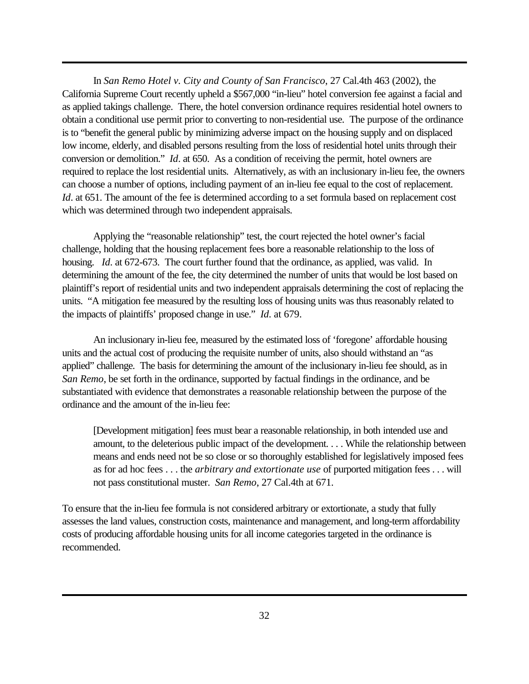In *San Remo Hotel v. City and County of San Francisco*, 27 Cal.4th 463 (2002), the California Supreme Court recently upheld a \$567,000 "in-lieu" hotel conversion fee against a facial and as applied takings challenge. There, the hotel conversion ordinance requires residential hotel owners to obtain a conditional use permit prior to converting to non-residential use. The purpose of the ordinance is to "benefit the general public by minimizing adverse impact on the housing supply and on displaced low income, elderly, and disabled persons resulting from the loss of residential hotel units through their conversion or demolition." *Id*. at 650. As a condition of receiving the permit, hotel owners are required to replace the lost residential units. Alternatively, as with an inclusionary in-lieu fee, the owners can choose a number of options, including payment of an in-lieu fee equal to the cost of replacement. *Id*. at 651. The amount of the fee is determined according to a set formula based on replacement cost which was determined through two independent appraisals.

Applying the "reasonable relationship" test, the court rejected the hotel owner's facial challenge, holding that the housing replacement fees bore a reasonable relationship to the loss of housing. *Id*. at 672-673. The court further found that the ordinance, as applied, was valid. In determining the amount of the fee, the city determined the number of units that would be lost based on plaintiff's report of residential units and two independent appraisals determining the cost of replacing the units. "A mitigation fee measured by the resulting loss of housing units was thus reasonably related to the impacts of plaintiffs' proposed change in use." *Id*. at 679.

An inclusionary in-lieu fee, measured by the estimated loss of 'foregone' affordable housing units and the actual cost of producing the requisite number of units, also should withstand an "as applied" challenge. The basis for determining the amount of the inclusionary in-lieu fee should, as in *San Remo*, be set forth in the ordinance, supported by factual findings in the ordinance, and be substantiated with evidence that demonstrates a reasonable relationship between the purpose of the ordinance and the amount of the in-lieu fee:

[Development mitigation] fees must bear a reasonable relationship, in both intended use and amount, to the deleterious public impact of the development. . . . While the relationship between means and ends need not be so close or so thoroughly established for legislatively imposed fees as for ad hoc fees . . . the *arbitrary and extortionate use* of purported mitigation fees . . . will not pass constitutional muster. *San Remo*, 27 Cal.4th at 671.

To ensure that the in-lieu fee formula is not considered arbitrary or extortionate, a study that fully assesses the land values, construction costs, maintenance and management, and long-term affordability costs of producing affordable housing units for all income categories targeted in the ordinance is recommended.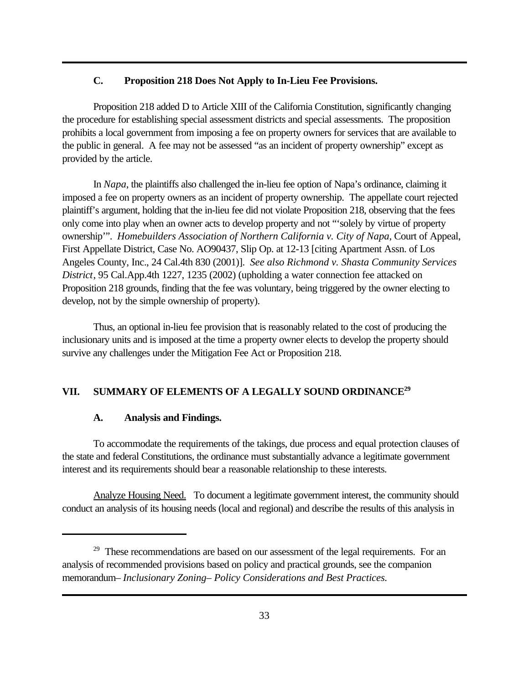# **C. Proposition 218 Does Not Apply to In-Lieu Fee Provisions.**

Proposition 218 added D to Article XIII of the California Constitution, significantly changing the procedure for establishing special assessment districts and special assessments. The proposition prohibits a local government from imposing a fee on property owners for services that are available to the public in general. A fee may not be assessed "as an incident of property ownership" except as provided by the article.

In *Napa*, the plaintiffs also challenged the in-lieu fee option of Napa's ordinance, claiming it imposed a fee on property owners as an incident of property ownership. The appellate court rejected plaintiff's argument, holding that the in-lieu fee did not violate Proposition 218, observing that the fees only come into play when an owner acts to develop property and not "'solely by virtue of property ownership'". *Homebuilders Association of Northern California v. City of Napa*, Court of Appeal, First Appellate District, Case No. AO90437, Slip Op. at 12-13 [citing Apartment Assn. of Los Angeles County, Inc., 24 Cal.4th 830 (2001)]. *See also Richmond v. Shasta Community Services District*, 95 Cal.App.4th 1227, 1235 (2002) (upholding a water connection fee attacked on Proposition 218 grounds, finding that the fee was voluntary, being triggered by the owner electing to develop, not by the simple ownership of property).

Thus, an optional in-lieu fee provision that is reasonably related to the cost of producing the inclusionary units and is imposed at the time a property owner elects to develop the property should survive any challenges under the Mitigation Fee Act or Proposition 218.

# **VII. SUMMARY OF ELEMENTS OF A LEGALLY SOUND ORDINANCE<sup>29</sup>**

#### **A. Analysis and Findings.**

To accommodate the requirements of the takings, due process and equal protection clauses of the state and federal Constitutions, the ordinance must substantially advance a legitimate government interest and its requirements should bear a reasonable relationship to these interests.

Analyze Housing Need. To document a legitimate government interest, the community should conduct an analysis of its housing needs (local and regional) and describe the results of this analysis in

<sup>&</sup>lt;sup>29</sup> These recommendations are based on our assessment of the legal requirements. For an analysis of recommended provisions based on policy and practical grounds, see the companion memorandum– *Inclusionary Zoning– Policy Considerations and Best Practices.*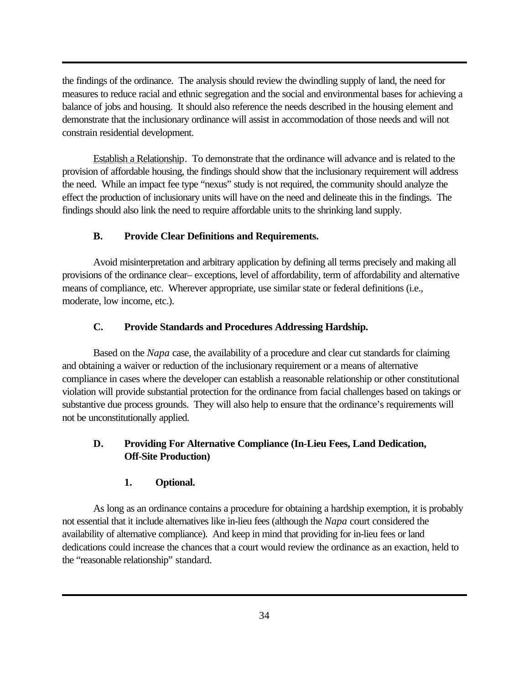the findings of the ordinance. The analysis should review the dwindling supply of land, the need for measures to reduce racial and ethnic segregation and the social and environmental bases for achieving a balance of jobs and housing. It should also reference the needs described in the housing element and demonstrate that the inclusionary ordinance will assist in accommodation of those needs and will not constrain residential development.

Establish a Relationship. To demonstrate that the ordinance will advance and is related to the provision of affordable housing, the findings should show that the inclusionary requirement will address the need. While an impact fee type "nexus" study is not required, the community should analyze the effect the production of inclusionary units will have on the need and delineate this in the findings. The findings should also link the need to require affordable units to the shrinking land supply.

# **B. Provide Clear Definitions and Requirements.**

Avoid misinterpretation and arbitrary application by defining all terms precisely and making all provisions of the ordinance clear– exceptions, level of affordability, term of affordability and alternative means of compliance, etc. Wherever appropriate, use similar state or federal definitions (i.e., moderate, low income, etc.).

# **C. Provide Standards and Procedures Addressing Hardship.**

Based on the *Napa* case, the availability of a procedure and clear cut standards for claiming and obtaining a waiver or reduction of the inclusionary requirement or a means of alternative compliance in cases where the developer can establish a reasonable relationship or other constitutional violation will provide substantial protection for the ordinance from facial challenges based on takings or substantive due process grounds. They will also help to ensure that the ordinance's requirements will not be unconstitutionally applied.

# **D. Providing For Alternative Compliance (In-Lieu Fees, Land Dedication, Off-Site Production)**

# **1. Optional.**

As long as an ordinance contains a procedure for obtaining a hardship exemption, it is probably not essential that it include alternatives like in-lieu fees (although the *Napa* court considered the availability of alternative compliance). And keep in mind that providing for in-lieu fees or land dedications could increase the chances that a court would review the ordinance as an exaction, held to the "reasonable relationship" standard.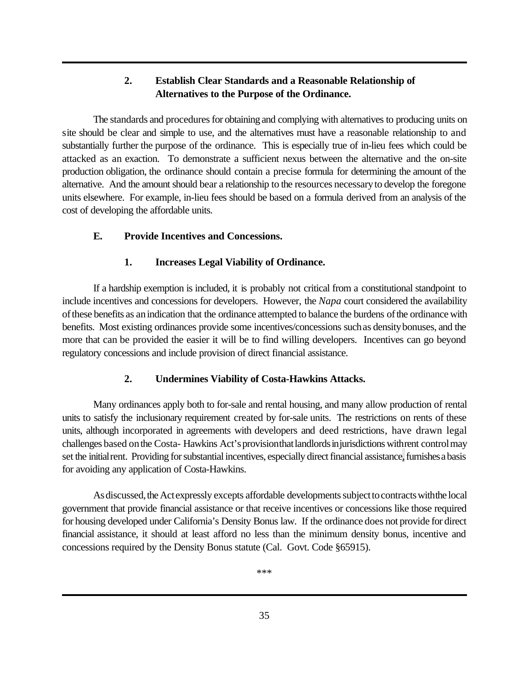# **2. Establish Clear Standards and a Reasonable Relationship of Alternatives to the Purpose of the Ordinance.**

The standards and procedures for obtaining and complying with alternatives to producing units on site should be clear and simple to use, and the alternatives must have a reasonable relationship to and substantially further the purpose of the ordinance. This is especially true of in-lieu fees which could be attacked as an exaction. To demonstrate a sufficient nexus between the alternative and the on-site production obligation, the ordinance should contain a precise formula for determining the amount of the alternative. And the amount should bear a relationship to the resources necessaryto develop the foregone units elsewhere. For example, in-lieu fees should be based on a formula derived from an analysis of the cost of developing the affordable units.

# **E. Provide Incentives and Concessions.**

# **1. Increases Legal Viability of Ordinance.**

If a hardship exemption is included, it is probably not critical from a constitutional standpoint to include incentives and concessions for developers. However, the *Napa* court considered the availability ofthese benefits as anindication that the ordinance attempted to balance the burdens ofthe ordinance with benefits. Most existing ordinances provide some incentives/concessions suchas densitybonuses, and the more that can be provided the easier it will be to find willing developers. Incentives can go beyond regulatory concessions and include provision of direct financial assistance.

# **2. Undermines Viability of Costa-Hawkins Attacks.**

Many ordinances apply both to for-sale and rental housing, and many allow production of rental units to satisfy the inclusionary requirement created by for-sale units. The restrictions on rents of these units, although incorporated in agreements with developers and deed restrictions, have drawn legal challenges based on the Costa- Hawkins Act's provision that landlords in jurisdictions with rent control may set the initial rent. Providing for substantial incentives, especially direct financial assistance, furnishes a basis for avoiding any application of Costa-Hawkins.

As discussed, the Act expressly excepts affordable developments subject to contracts with the local government that provide financial assistance or that receive incentives or concessions like those required for housing developed under California's Density Bonus law. If the ordinance does not provide for direct financial assistance, it should at least afford no less than the minimum density bonus, incentive and concessions required by the Density Bonus statute (Cal. Govt. Code §65915).

\*\*\*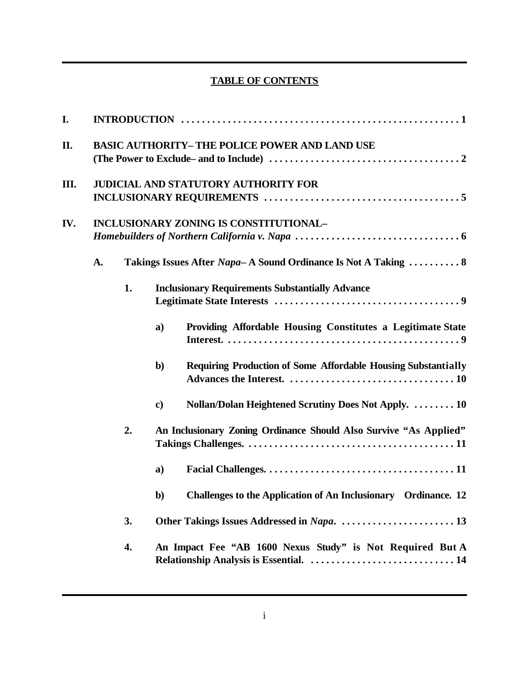# **TABLE OF CONTENTS**

| I.  |                                               |                                             |              |                                                                                                      |  |  |  |  |
|-----|-----------------------------------------------|---------------------------------------------|--------------|------------------------------------------------------------------------------------------------------|--|--|--|--|
| II. |                                               |                                             |              | <b>BASIC AUTHORITY- THE POLICE POWER AND LAND USE</b>                                                |  |  |  |  |
| Ш.  |                                               | <b>JUDICIAL AND STATUTORY AUTHORITY FOR</b> |              |                                                                                                      |  |  |  |  |
| IV. | <b>INCLUSIONARY ZONING IS CONSTITUTIONAL-</b> |                                             |              |                                                                                                      |  |  |  |  |
|     | A.                                            |                                             |              | Takings Issues After Napa-A Sound Ordinance Is Not A Taking  8                                       |  |  |  |  |
|     |                                               | 1.                                          |              | <b>Inclusionary Requirements Substantially Advance</b>                                               |  |  |  |  |
|     |                                               |                                             | a)           | Providing Affordable Housing Constitutes a Legitimate State                                          |  |  |  |  |
|     |                                               |                                             | $\mathbf{b}$ | <b>Requiring Production of Some Affordable Housing Substantially</b>                                 |  |  |  |  |
|     |                                               |                                             | $\bf c)$     | Nollan/Dolan Heightened Scrutiny Does Not Apply.  10                                                 |  |  |  |  |
|     |                                               | 2.                                          |              | An Inclusionary Zoning Ordinance Should Also Survive "As Applied"                                    |  |  |  |  |
|     |                                               |                                             | a)           |                                                                                                      |  |  |  |  |
|     |                                               |                                             | $\mathbf{b}$ | Challenges to the Application of An Inclusionary Ordinance. 12                                       |  |  |  |  |
|     |                                               | 3.                                          |              |                                                                                                      |  |  |  |  |
|     |                                               | 4.                                          |              | An Impact Fee "AB 1600 Nexus Study" is Not Required But A<br>Relationship Analysis is Essential.  14 |  |  |  |  |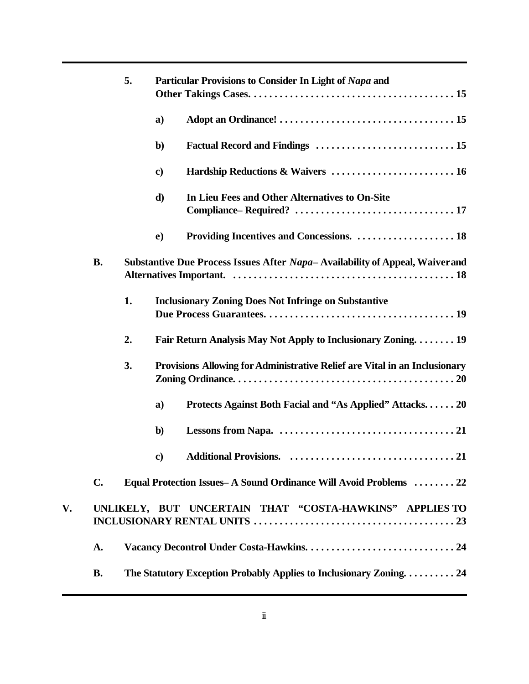|    |           | 5. | Particular Provisions to Consider In Light of Napa and                       |
|----|-----------|----|------------------------------------------------------------------------------|
|    |           |    | a)                                                                           |
|    |           |    | $\mathbf{b}$                                                                 |
|    |           |    | Hardship Reductions & Waivers  16<br>$\mathbf{c})$                           |
|    |           |    | d)<br>In Lieu Fees and Other Alternatives to On-Site                         |
|    |           |    | $\bf e)$                                                                     |
|    | <b>B.</b> |    | Substantive Due Process Issues After Napa-Availability of Appeal, Waiver and |
|    |           | 1. | <b>Inclusionary Zoning Does Not Infringe on Substantive</b>                  |
|    |           | 2. | Fair Return Analysis May Not Apply to Inclusionary Zoning 19                 |
|    |           | 3. | Provisions Allowing for Administrative Relief are Vital in an Inclusionary   |
|    |           |    | Protects Against Both Facial and "As Applied" Attacks. 20<br>a)              |
|    |           |    | $\mathbf{b}$                                                                 |
|    |           |    | $\bf c)$                                                                     |
|    | C.        |    | Equal Protection Issues - A Sound Ordinance Will Avoid Problems  22          |
| V. |           |    | UNLIKELY, BUT UNCERTAIN THAT "COSTA-HAWKINS" APPLIES TO                      |
|    | A.        |    |                                                                              |
|    | <b>B.</b> |    | The Statutory Exception Probably Applies to Inclusionary Zoning24            |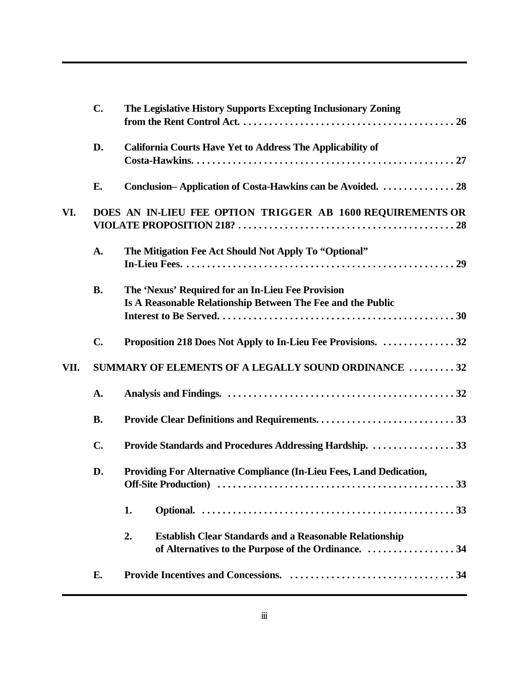| D.<br><b>California Courts Have Yet to Address The Applicability of</b><br>Conclusion-Application of Costa-Hawkins can be Avoided.  28<br>E.<br>VI.<br>DOES AN IN-LIEU FEE OPTION TRIGGER AB 1600 REQUIREMENTS OR<br>A.<br>The Mitigation Fee Act Should Not Apply To "Optional"<br><b>B.</b><br>The 'Nexus' Required for an In-Lieu Fee Provision<br>Is A Reasonable Relationship Between The Fee and the Public<br>$\mathbf{C}$ .<br>Proposition 218 Does Not Apply to In-Lieu Fee Provisions. 32<br>VII.<br>A.<br><b>B.</b><br>Provide Standards and Procedures Addressing Hardship.  33<br>$\mathbf{C}$ .<br>D.<br>1.<br><b>Establish Clear Standards and a Reasonable Relationship</b><br>2. | The Legislative History Supports Excepting Inclusionary Zoning                                                                                                                        |  |  |  |  |  |
|---------------------------------------------------------------------------------------------------------------------------------------------------------------------------------------------------------------------------------------------------------------------------------------------------------------------------------------------------------------------------------------------------------------------------------------------------------------------------------------------------------------------------------------------------------------------------------------------------------------------------------------------------------------------------------------------------|---------------------------------------------------------------------------------------------------------------------------------------------------------------------------------------|--|--|--|--|--|
|                                                                                                                                                                                                                                                                                                                                                                                                                                                                                                                                                                                                                                                                                                   |                                                                                                                                                                                       |  |  |  |  |  |
|                                                                                                                                                                                                                                                                                                                                                                                                                                                                                                                                                                                                                                                                                                   |                                                                                                                                                                                       |  |  |  |  |  |
|                                                                                                                                                                                                                                                                                                                                                                                                                                                                                                                                                                                                                                                                                                   |                                                                                                                                                                                       |  |  |  |  |  |
|                                                                                                                                                                                                                                                                                                                                                                                                                                                                                                                                                                                                                                                                                                   |                                                                                                                                                                                       |  |  |  |  |  |
|                                                                                                                                                                                                                                                                                                                                                                                                                                                                                                                                                                                                                                                                                                   |                                                                                                                                                                                       |  |  |  |  |  |
|                                                                                                                                                                                                                                                                                                                                                                                                                                                                                                                                                                                                                                                                                                   |                                                                                                                                                                                       |  |  |  |  |  |
|                                                                                                                                                                                                                                                                                                                                                                                                                                                                                                                                                                                                                                                                                                   | SUMMARY OF ELEMENTS OF A LEGALLY SOUND ORDINANCE 32                                                                                                                                   |  |  |  |  |  |
|                                                                                                                                                                                                                                                                                                                                                                                                                                                                                                                                                                                                                                                                                                   |                                                                                                                                                                                       |  |  |  |  |  |
|                                                                                                                                                                                                                                                                                                                                                                                                                                                                                                                                                                                                                                                                                                   |                                                                                                                                                                                       |  |  |  |  |  |
|                                                                                                                                                                                                                                                                                                                                                                                                                                                                                                                                                                                                                                                                                                   |                                                                                                                                                                                       |  |  |  |  |  |
|                                                                                                                                                                                                                                                                                                                                                                                                                                                                                                                                                                                                                                                                                                   | Providing For Alternative Compliance (In-Lieu Fees, Land Dedication,<br>Off-Site Production (and the content of the state of the state of the state of the Site Sites and Sites Sites |  |  |  |  |  |
|                                                                                                                                                                                                                                                                                                                                                                                                                                                                                                                                                                                                                                                                                                   |                                                                                                                                                                                       |  |  |  |  |  |
| of Alternatives to the Purpose of the Ordinance. 34                                                                                                                                                                                                                                                                                                                                                                                                                                                                                                                                                                                                                                               |                                                                                                                                                                                       |  |  |  |  |  |
| Е.                                                                                                                                                                                                                                                                                                                                                                                                                                                                                                                                                                                                                                                                                                |                                                                                                                                                                                       |  |  |  |  |  |